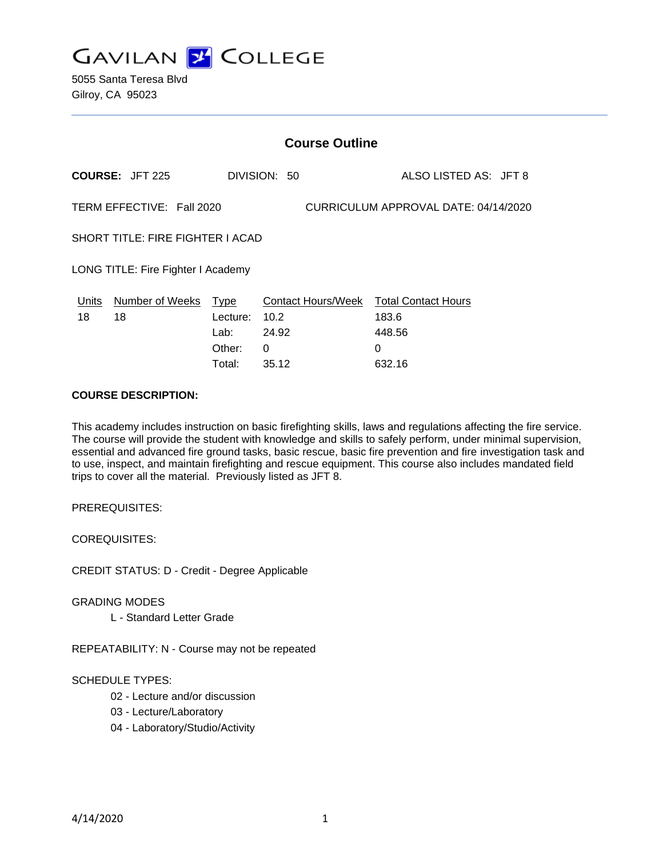**GAVILAN J COLLEGE** 

5055 Santa Teresa Blvd Gilroy, CA 95023

# **Course Outline**

**COURSE:** JFT 225 DIVISION: 50 ALSO LISTED AS: JFT 8 TERM EFFECTIVE: Fall 2020 CURRICULUM APPROVAL DATE: 04/14/2020 SHORT TITLE: FIRE FIGHTER I ACAD LONG TITLE: Fire Fighter I Academy Units Number of Weeks Type Contact Hours/Week Total Contact Hours 18 18 Lecture: 10.2 183.6 Lab: 24.92 448.56 Other: 0 0 Total: 35.12 632.16

#### **COURSE DESCRIPTION:**

This academy includes instruction on basic firefighting skills, laws and regulations affecting the fire service. The course will provide the student with knowledge and skills to safely perform, under minimal supervision, essential and advanced fire ground tasks, basic rescue, basic fire prevention and fire investigation task and to use, inspect, and maintain firefighting and rescue equipment. This course also includes mandated field trips to cover all the material. Previously listed as JFT 8.

PREREQUISITES:

COREQUISITES:

CREDIT STATUS: D - Credit - Degree Applicable

GRADING MODES

L - Standard Letter Grade

REPEATABILITY: N - Course may not be repeated

### SCHEDULE TYPES:

- 02 Lecture and/or discussion
- 03 Lecture/Laboratory
- 04 Laboratory/Studio/Activity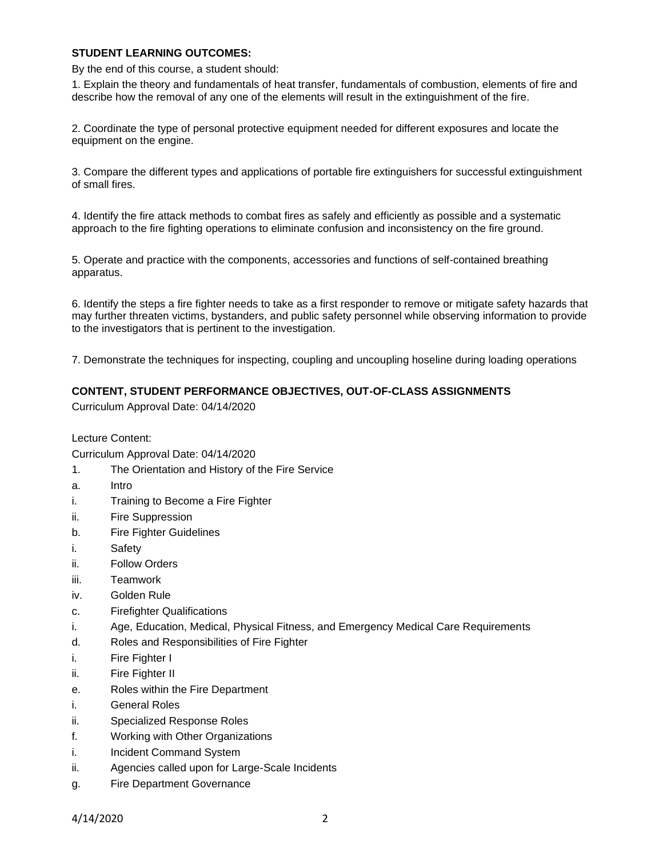### **STUDENT LEARNING OUTCOMES:**

By the end of this course, a student should:

1. Explain the theory and fundamentals of heat transfer, fundamentals of combustion, elements of fire and describe how the removal of any one of the elements will result in the extinguishment of the fire.

2. Coordinate the type of personal protective equipment needed for different exposures and locate the equipment on the engine.

3. Compare the different types and applications of portable fire extinguishers for successful extinguishment of small fires.

4. Identify the fire attack methods to combat fires as safely and efficiently as possible and a systematic approach to the fire fighting operations to eliminate confusion and inconsistency on the fire ground.

5. Operate and practice with the components, accessories and functions of self-contained breathing apparatus.

6. Identify the steps a fire fighter needs to take as a first responder to remove or mitigate safety hazards that may further threaten victims, bystanders, and public safety personnel while observing information to provide to the investigators that is pertinent to the investigation.

7. Demonstrate the techniques for inspecting, coupling and uncoupling hoseline during loading operations

#### **CONTENT, STUDENT PERFORMANCE OBJECTIVES, OUT-OF-CLASS ASSIGNMENTS**

Curriculum Approval Date: 04/14/2020

Lecture Content:

Curriculum Approval Date: 04/14/2020

- 1. The Orientation and History of the Fire Service
- a. Intro
- i. Training to Become a Fire Fighter
- ii. Fire Suppression
- b. Fire Fighter Guidelines
- i. Safety
- ii. Follow Orders
- iii. Teamwork
- iv. Golden Rule
- c. Firefighter Qualifications
- i. Age, Education, Medical, Physical Fitness, and Emergency Medical Care Requirements
- d. Roles and Responsibilities of Fire Fighter
- i. Fire Fighter I
- ii. Fire Fighter II
- e. Roles within the Fire Department
- i. General Roles
- ii. Specialized Response Roles
- f. Working with Other Organizations
- i. Incident Command System
- ii. Agencies called upon for Large-Scale Incidents
- g. Fire Department Governance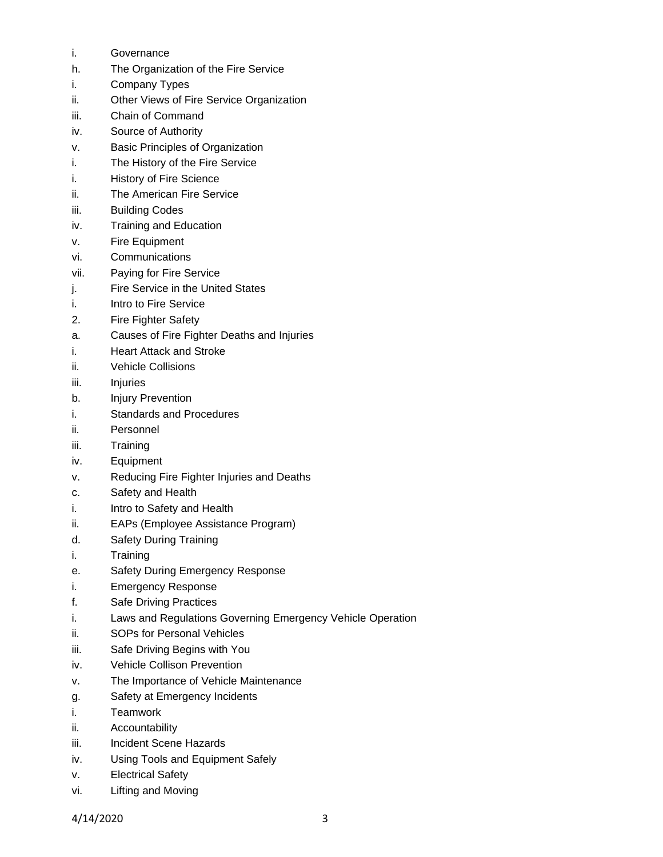- i. Governance
- h. The Organization of the Fire Service
- i. Company Types
- ii. Other Views of Fire Service Organization
- iii. Chain of Command
- iv. Source of Authority
- v. Basic Principles of Organization
- i. The History of the Fire Service
- i. History of Fire Science
- ii. The American Fire Service
- iii. Building Codes
- iv. Training and Education
- v. Fire Equipment
- vi. Communications
- vii. Paying for Fire Service
- j. Fire Service in the United States
- i. Intro to Fire Service
- 2. Fire Fighter Safety
- a. Causes of Fire Fighter Deaths and Injuries
- i. Heart Attack and Stroke
- ii. Vehicle Collisions
- iii. Injuries
- b. Injury Prevention
- i. Standards and Procedures
- ii. Personnel
- iii. Training
- iv. Equipment
- v. Reducing Fire Fighter Injuries and Deaths
- c. Safety and Health
- i. Intro to Safety and Health
- ii. EAPs (Employee Assistance Program)
- d. Safety During Training
- i. Training
- e. Safety During Emergency Response
- i. Emergency Response
- f. Safe Driving Practices
- i. Laws and Regulations Governing Emergency Vehicle Operation
- ii. SOPs for Personal Vehicles
- iii. Safe Driving Begins with You
- iv. Vehicle Collison Prevention
- v. The Importance of Vehicle Maintenance
- g. Safety at Emergency Incidents
- i. Teamwork
- ii. Accountability
- iii. Incident Scene Hazards
- iv. Using Tools and Equipment Safely
- v. Electrical Safety
- vi. Lifting and Moving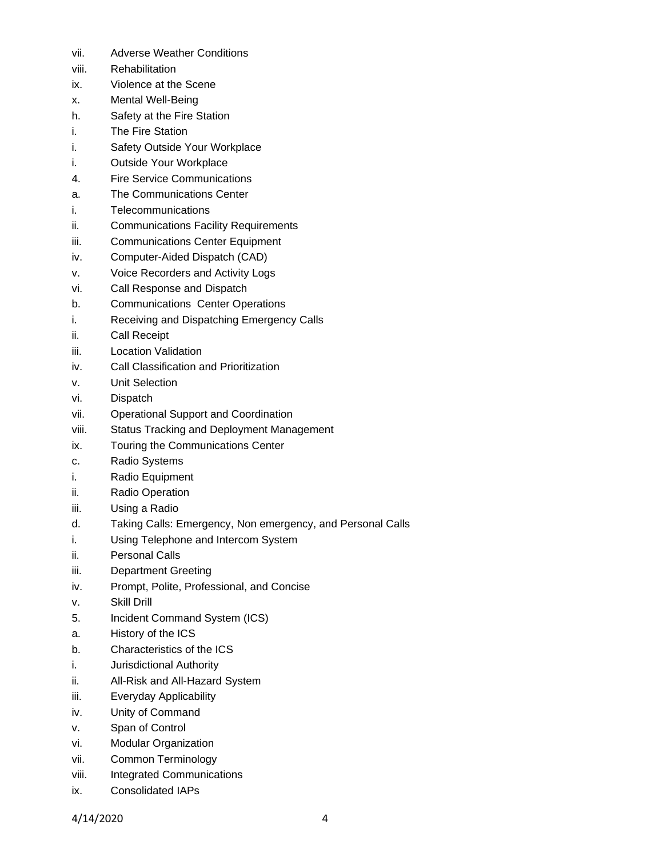- vii. Adverse Weather Conditions
- viii. Rehabilitation
- ix. Violence at the Scene
- x. Mental Well-Being
- h. Safety at the Fire Station
- i. The Fire Station
- i. Safety Outside Your Workplace
- i. Outside Your Workplace
- 4. Fire Service Communications
- a. The Communications Center
- i. Telecommunications
- ii. Communications Facility Requirements
- iii. Communications Center Equipment
- iv. Computer-Aided Dispatch (CAD)
- v. Voice Recorders and Activity Logs
- vi. Call Response and Dispatch
- b. Communications Center Operations
- i. Receiving and Dispatching Emergency Calls
- ii. Call Receipt
- iii. Location Validation
- iv. Call Classification and Prioritization
- v. Unit Selection
- vi. Dispatch
- vii. Operational Support and Coordination
- viii. Status Tracking and Deployment Management
- ix. Touring the Communications Center
- c. Radio Systems
- i. Radio Equipment
- ii. Radio Operation
- iii. Using a Radio
- d. Taking Calls: Emergency, Non emergency, and Personal Calls
- i. Using Telephone and Intercom System
- ii. Personal Calls
- iii. Department Greeting
- iv. Prompt, Polite, Professional, and Concise
- v. Skill Drill
- 5. Incident Command System (ICS)
- a. History of the ICS
- b. Characteristics of the ICS
- i. Jurisdictional Authority
- ii. All-Risk and All-Hazard System
- iii. Everyday Applicability
- iv. Unity of Command
- v. Span of Control
- vi. Modular Organization
- vii. Common Terminology
- viii. Integrated Communications
- ix. Consolidated IAPs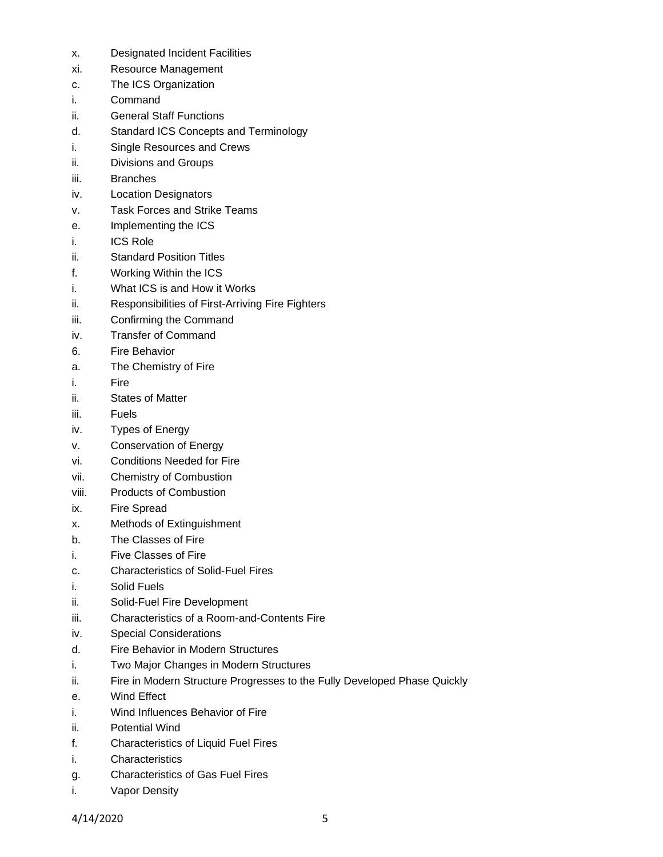- x. Designated Incident Facilities
- xi. Resource Management
- c. The ICS Organization
- i. Command
- ii. General Staff Functions
- d. Standard ICS Concepts and Terminology
- i. Single Resources and Crews
- ii. Divisions and Groups
- iii. Branches
- iv. Location Designators
- v. Task Forces and Strike Teams
- e. Implementing the ICS
- i. ICS Role
- ii. Standard Position Titles
- f. Working Within the ICS
- i. What ICS is and How it Works
- ii. Responsibilities of First-Arriving Fire Fighters
- iii. Confirming the Command
- iv. Transfer of Command
- 6. Fire Behavior
- a. The Chemistry of Fire
- i. Fire
- ii. States of Matter
- iii. Fuels
- iv. Types of Energy
- v. Conservation of Energy
- vi. Conditions Needed for Fire
- vii. Chemistry of Combustion
- viii. Products of Combustion
- ix. Fire Spread
- x. Methods of Extinguishment
- b. The Classes of Fire
- i. Five Classes of Fire
- c. Characteristics of Solid-Fuel Fires
- i. Solid Fuels
- ii. Solid-Fuel Fire Development
- iii. Characteristics of a Room-and-Contents Fire
- iv. Special Considerations
- d. Fire Behavior in Modern Structures
- i. Two Major Changes in Modern Structures
- ii. Fire in Modern Structure Progresses to the Fully Developed Phase Quickly
- e. Wind Effect
- i. Wind Influences Behavior of Fire
- ii. Potential Wind
- f. Characteristics of Liquid Fuel Fires
- i. Characteristics
- g. Characteristics of Gas Fuel Fires
- i. Vapor Density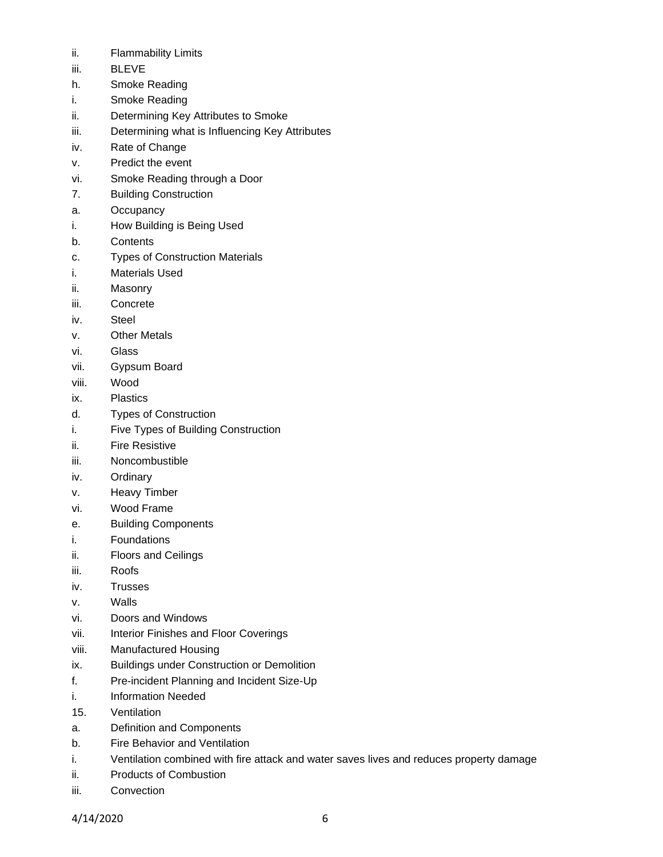- ii. Flammability Limits
- iii. BLEVE
- h. Smoke Reading
- i. Smoke Reading
- ii. Determining Key Attributes to Smoke
- iii. Determining what is Influencing Key Attributes
- iv. Rate of Change
- v. Predict the event
- vi. Smoke Reading through a Door
- 7. Building Construction
- a. Occupancy
- i. How Building is Being Used
- b. Contents
- c. Types of Construction Materials
- i. Materials Used
- ii. Masonry
- iii. Concrete
- iv. Steel
- v. Other Metals
- vi. Glass
- vii. Gypsum Board
- viii. Wood
- ix. Plastics
- d. Types of Construction
- i. Five Types of Building Construction
- ii. Fire Resistive
- iii. Noncombustible
- iv. Ordinary
- v. Heavy Timber
- vi. Wood Frame
- e. Building Components
- i. Foundations
- ii. Floors and Ceilings
- iii. Roofs
- iv. Trusses
- v. Walls
- vi. Doors and Windows
- vii. Interior Finishes and Floor Coverings
- viii. Manufactured Housing
- ix. Buildings under Construction or Demolition
- f. Pre-incident Planning and Incident Size-Up
- i. Information Needed
- 15. Ventilation
- a. Definition and Components
- b. Fire Behavior and Ventilation
- i. Ventilation combined with fire attack and water saves lives and reduces property damage
- ii. Products of Combustion
- iii. Convection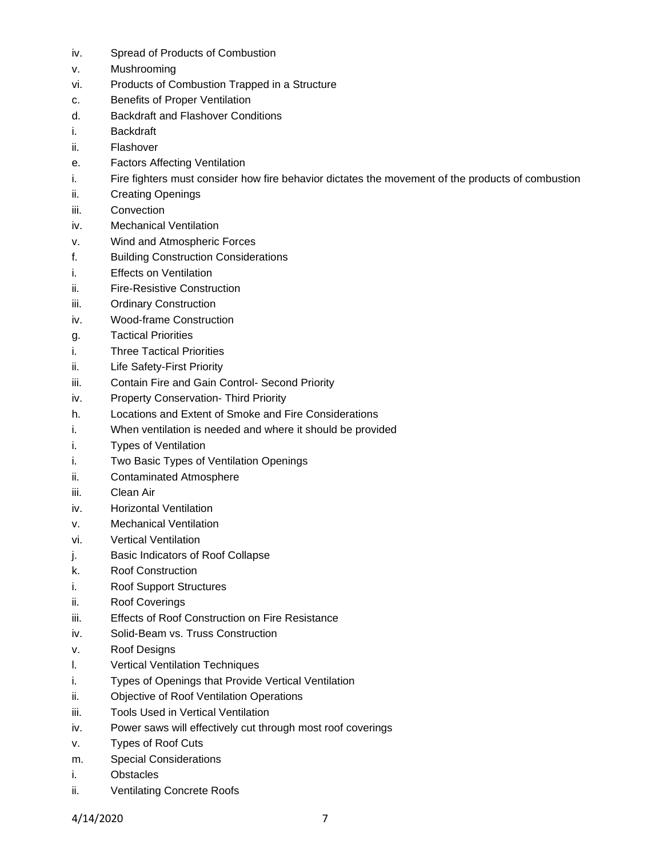- iv. Spread of Products of Combustion
- v. Mushrooming
- vi. Products of Combustion Trapped in a Structure
- c. Benefits of Proper Ventilation
- d. Backdraft and Flashover Conditions
- i. Backdraft
- ii. Flashover
- e. Factors Affecting Ventilation
- i. Fire fighters must consider how fire behavior dictates the movement of the products of combustion
- ii. Creating Openings
- iii. Convection
- iv. Mechanical Ventilation
- v. Wind and Atmospheric Forces
- f. Building Construction Considerations
- i. Effects on Ventilation
- ii. Fire-Resistive Construction
- iii. Ordinary Construction
- iv. Wood-frame Construction
- g. Tactical Priorities
- i. Three Tactical Priorities
- ii. Life Safety-First Priority
- iii. Contain Fire and Gain Control- Second Priority
- iv. Property Conservation- Third Priority
- h. Locations and Extent of Smoke and Fire Considerations
- i. When ventilation is needed and where it should be provided
- i. Types of Ventilation
- i. Two Basic Types of Ventilation Openings
- ii. Contaminated Atmosphere
- iii. Clean Air
- iv. Horizontal Ventilation
- v. Mechanical Ventilation
- vi. Vertical Ventilation
- j. Basic Indicators of Roof Collapse
- k. Roof Construction
- i. Roof Support Structures
- ii. Roof Coverings
- iii. Effects of Roof Construction on Fire Resistance
- iv. Solid-Beam vs. Truss Construction
- v. Roof Designs
- l. Vertical Ventilation Techniques
- i. Types of Openings that Provide Vertical Ventilation
- ii. Objective of Roof Ventilation Operations
- iii. Tools Used in Vertical Ventilation
- iv. Power saws will effectively cut through most roof coverings
- v. Types of Roof Cuts
- m. Special Considerations
- i. Obstacles
- ii. Ventilating Concrete Roofs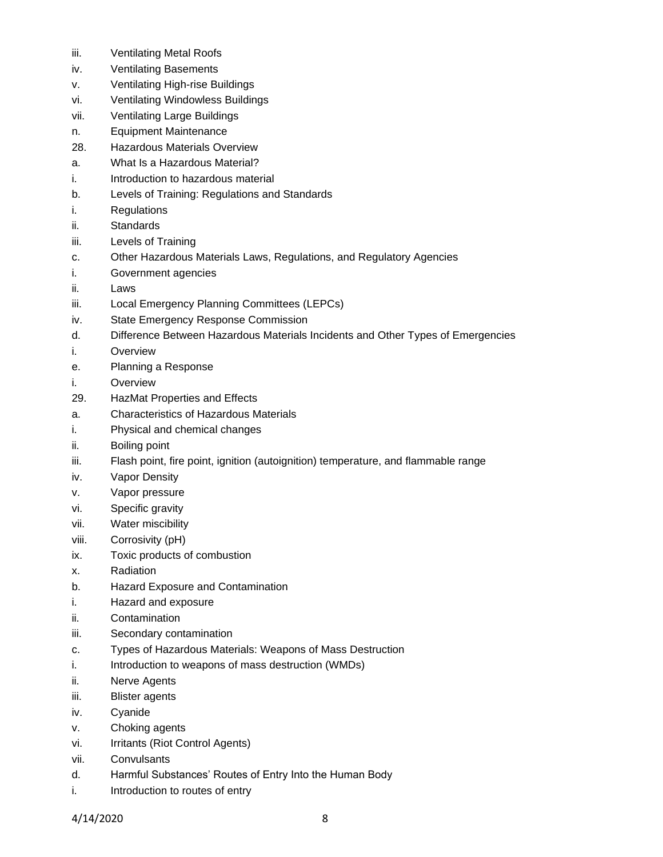- iii. Ventilating Metal Roofs
- iv. Ventilating Basements
- v. Ventilating High-rise Buildings
- vi. Ventilating Windowless Buildings
- vii. Ventilating Large Buildings
- n. Equipment Maintenance
- 28. Hazardous Materials Overview
- a. What Is a Hazardous Material?
- i. Introduction to hazardous material
- b. Levels of Training: Regulations and Standards
- i. Regulations
- ii. Standards
- iii. Levels of Training
- c. Other Hazardous Materials Laws, Regulations, and Regulatory Agencies
- i. Government agencies
- ii. Laws
- iii. Local Emergency Planning Committees (LEPCs)
- iv. State Emergency Response Commission
- d. Difference Between Hazardous Materials Incidents and Other Types of Emergencies
- i. Overview
- e. Planning a Response
- i. Overview
- 29. HazMat Properties and Effects
- a. Characteristics of Hazardous Materials
- i. Physical and chemical changes
- ii. Boiling point
- iii. Flash point, fire point, ignition (autoignition) temperature, and flammable range
- iv. Vapor Density
- v. Vapor pressure
- vi. Specific gravity
- vii. Water miscibility
- viii. Corrosivity (pH)
- ix. Toxic products of combustion
- x. Radiation
- b. Hazard Exposure and Contamination
- i. Hazard and exposure
- ii. Contamination
- iii. Secondary contamination
- c. Types of Hazardous Materials: Weapons of Mass Destruction
- i. Introduction to weapons of mass destruction (WMDs)
- ii. Nerve Agents
- iii. Blister agents
- iv. Cyanide
- v. Choking agents
- vi. Irritants (Riot Control Agents)
- vii. Convulsants
- d. Harmful Substances' Routes of Entry Into the Human Body
- i. Introduction to routes of entry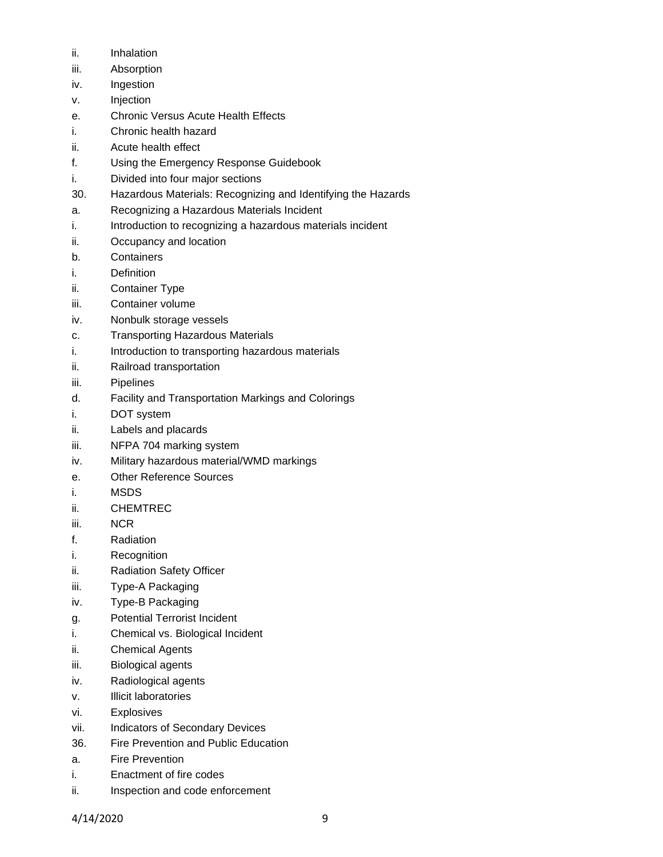- ii. Inhalation
- iii. Absorption
- iv. Ingestion
- v. Injection
- e. Chronic Versus Acute Health Effects
- i. Chronic health hazard
- ii. Acute health effect
- f. Using the Emergency Response Guidebook
- i. Divided into four major sections
- 30. Hazardous Materials: Recognizing and Identifying the Hazards
- a. Recognizing a Hazardous Materials Incident
- i. Introduction to recognizing a hazardous materials incident
- ii. Occupancy and location
- b. Containers
- i. Definition
- ii. Container Type
- iii. Container volume
- iv. Nonbulk storage vessels
- c. Transporting Hazardous Materials
- i. Introduction to transporting hazardous materials
- ii. Railroad transportation
- iii. Pipelines
- d. Facility and Transportation Markings and Colorings
- i. DOT system
- ii. Labels and placards
- iii. NFPA 704 marking system
- iv. Military hazardous material/WMD markings
- e. Other Reference Sources
- i. MSDS
- ii. CHEMTREC
- iii. NCR
- f. Radiation
- i. Recognition
- ii. Radiation Safety Officer
- iii. Type-A Packaging
- iv. Type-B Packaging
- g. Potential Terrorist Incident
- i. Chemical vs. Biological Incident
- ii. Chemical Agents
- iii. Biological agents
- iv. Radiological agents
- v. Illicit laboratories
- vi. Explosives
- vii. Indicators of Secondary Devices
- 36. Fire Prevention and Public Education
- a. Fire Prevention
- i. Enactment of fire codes
- ii. Inspection and code enforcement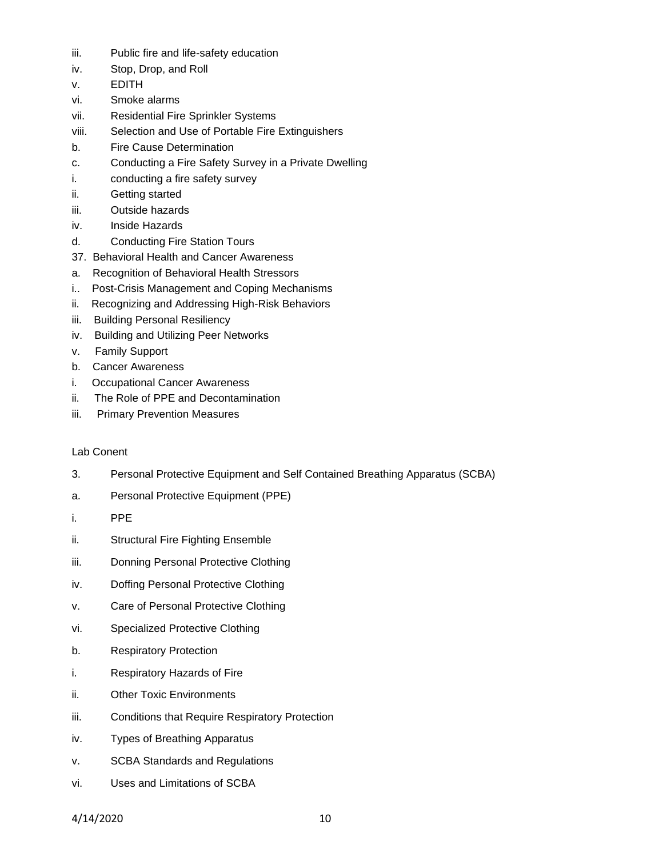- iii. Public fire and life-safety education
- iv. Stop, Drop, and Roll
- v. EDITH
- vi. Smoke alarms
- vii. Residential Fire Sprinkler Systems
- viii. Selection and Use of Portable Fire Extinguishers
- b. Fire Cause Determination
- c. Conducting a Fire Safety Survey in a Private Dwelling
- i. conducting a fire safety survey
- ii. Getting started
- iii. Outside hazards
- iv. Inside Hazards
- d. Conducting Fire Station Tours
- 37. Behavioral Health and Cancer Awareness
- a. Recognition of Behavioral Health Stressors
- i.. Post-Crisis Management and Coping Mechanisms
- ii. Recognizing and Addressing High-Risk Behaviors
- iii. Building Personal Resiliency
- iv. Building and Utilizing Peer Networks
- v. Family Support
- b. Cancer Awareness
- i. Occupational Cancer Awareness
- ii. The Role of PPE and Decontamination
- iii. Primary Prevention Measures

# Lab Conent

- 3. Personal Protective Equipment and Self Contained Breathing Apparatus (SCBA)
- a. Personal Protective Equipment (PPE)
- i. PPE
- ii. Structural Fire Fighting Ensemble
- iii. Donning Personal Protective Clothing
- iv. Doffing Personal Protective Clothing
- v. Care of Personal Protective Clothing
- vi. Specialized Protective Clothing
- b. Respiratory Protection
- i. Respiratory Hazards of Fire
- ii. Other Toxic Environments
- iii. Conditions that Require Respiratory Protection
- iv. Types of Breathing Apparatus
- v. SCBA Standards and Regulations
- vi. Uses and Limitations of SCBA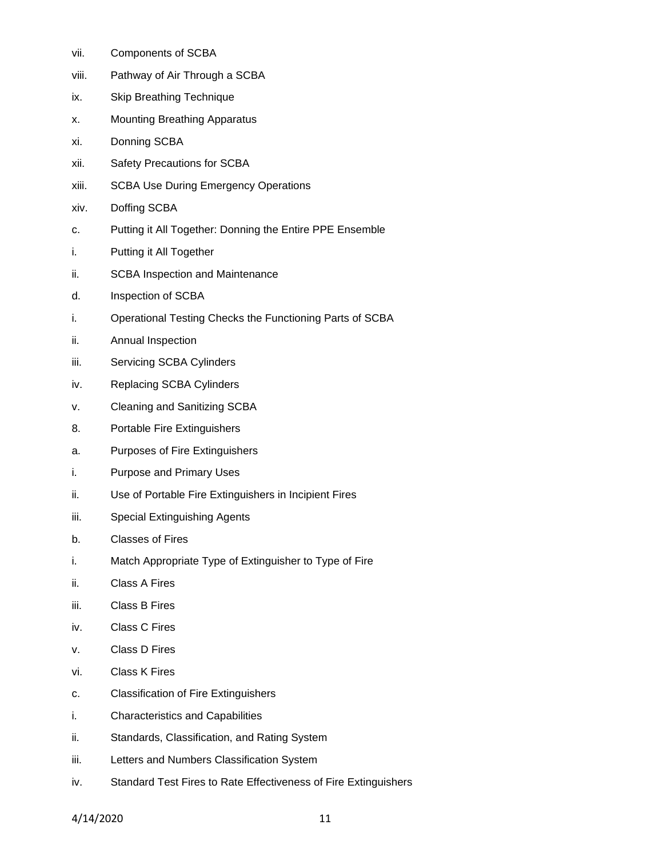- vii. Components of SCBA
- viii. Pathway of Air Through a SCBA
- ix. Skip Breathing Technique
- x. Mounting Breathing Apparatus
- xi. Donning SCBA
- xii. Safety Precautions for SCBA
- xiii. SCBA Use During Emergency Operations
- xiv. Doffing SCBA
- c. Putting it All Together: Donning the Entire PPE Ensemble
- i. Putting it All Together
- ii. SCBA Inspection and Maintenance
- d. Inspection of SCBA
- i. Operational Testing Checks the Functioning Parts of SCBA
- ii. Annual Inspection
- iii. Servicing SCBA Cylinders
- iv. Replacing SCBA Cylinders
- v. Cleaning and Sanitizing SCBA
- 8. Portable Fire Extinguishers
- a. Purposes of Fire Extinguishers
- i. Purpose and Primary Uses
- ii. Use of Portable Fire Extinguishers in Incipient Fires
- iii. Special Extinguishing Agents
- b. Classes of Fires
- i. Match Appropriate Type of Extinguisher to Type of Fire
- ii. Class A Fires
- iii. Class B Fires
- iv. Class C Fires
- v. Class D Fires
- vi. Class K Fires
- c. Classification of Fire Extinguishers
- i. Characteristics and Capabilities
- ii. Standards, Classification, and Rating System
- iii. Letters and Numbers Classification System
- iv. Standard Test Fires to Rate Effectiveness of Fire Extinguishers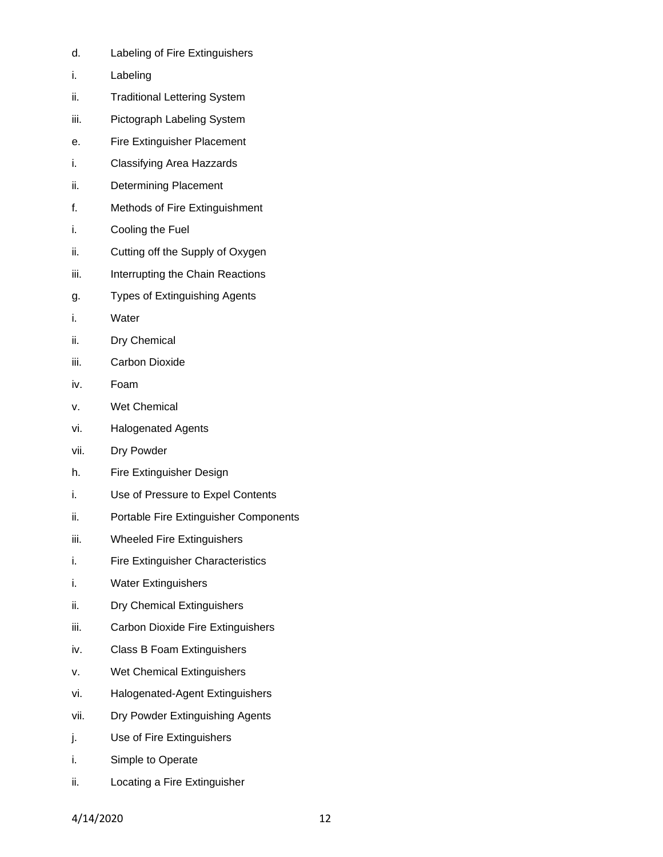- d. Labeling of Fire Extinguishers
- i. Labeling
- ii. Traditional Lettering System
- iii. Pictograph Labeling System
- e. Fire Extinguisher Placement
- i. Classifying Area Hazzards
- ii. Determining Placement
- f. Methods of Fire Extinguishment
- i. Cooling the Fuel
- ii. Cutting off the Supply of Oxygen
- iii. Interrupting the Chain Reactions
- g. Types of Extinguishing Agents
- i. Water
- ii. Dry Chemical
- iii. Carbon Dioxide
- iv. Foam
- v. Wet Chemical
- vi. Halogenated Agents
- vii. Dry Powder
- h. Fire Extinguisher Design
- i. Use of Pressure to Expel Contents
- ii. Portable Fire Extinguisher Components
- iii. Wheeled Fire Extinguishers
- i. Fire Extinguisher Characteristics
- i. Water Extinguishers
- ii. Dry Chemical Extinguishers
- iii. Carbon Dioxide Fire Extinguishers
- iv. Class B Foam Extinguishers
- v. Wet Chemical Extinguishers
- vi. Halogenated-Agent Extinguishers
- vii. Dry Powder Extinguishing Agents
- j. Use of Fire Extinguishers
- i. Simple to Operate
- ii. Locating a Fire Extinguisher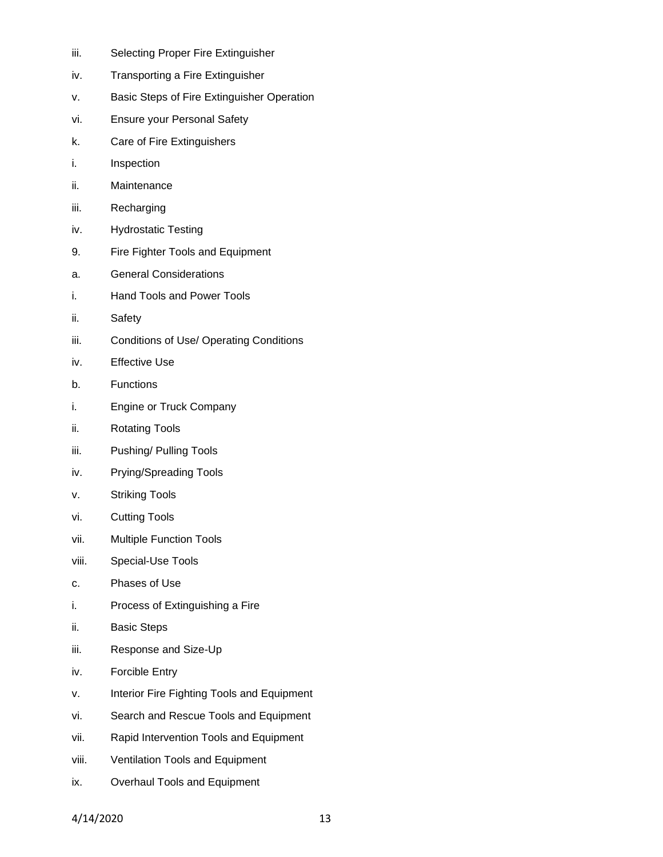- iii. Selecting Proper Fire Extinguisher
- iv. Transporting a Fire Extinguisher
- v. Basic Steps of Fire Extinguisher Operation
- vi. Ensure your Personal Safety
- k. Care of Fire Extinguishers
- i. Inspection
- ii. Maintenance
- iii. Recharging
- iv. Hydrostatic Testing
- 9. Fire Fighter Tools and Equipment
- a. General Considerations
- i. Hand Tools and Power Tools
- ii. Safety
- iii. Conditions of Use/ Operating Conditions
- iv. Effective Use
- b. Functions
- i. Engine or Truck Company
- ii. Rotating Tools
- iii. Pushing/ Pulling Tools
- iv. Prying/Spreading Tools
- v. Striking Tools
- vi. Cutting Tools
- vii. Multiple Function Tools
- viii. Special-Use Tools
- c. Phases of Use
- i. Process of Extinguishing a Fire
- ii. Basic Steps
- iii. Response and Size-Up
- iv. Forcible Entry
- v. Interior Fire Fighting Tools and Equipment
- vi. Search and Rescue Tools and Equipment
- vii. Rapid Intervention Tools and Equipment
- viii. Ventilation Tools and Equipment
- ix. Overhaul Tools and Equipment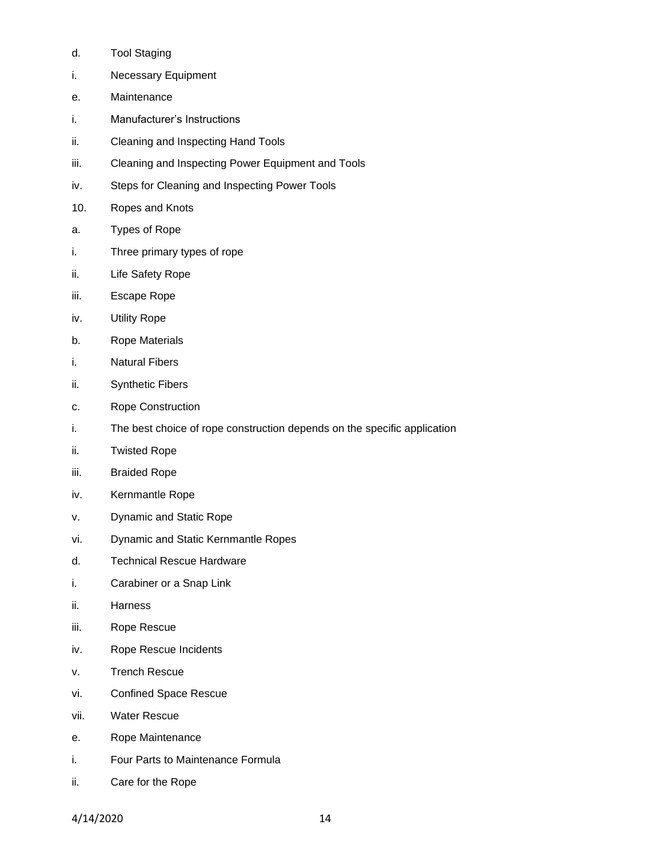- d. Tool Staging
- i. Necessary Equipment
- e. Maintenance
- i. Manufacturer's Instructions
- ii. Cleaning and Inspecting Hand Tools
- iii. Cleaning and Inspecting Power Equipment and Tools
- iv. Steps for Cleaning and Inspecting Power Tools
- 10. Ropes and Knots
- a. Types of Rope
- i. Three primary types of rope
- ii. Life Safety Rope
- iii. Escape Rope
- iv. Utility Rope
- b. Rope Materials
- i. Natural Fibers
- ii. Synthetic Fibers
- c. Rope Construction
- i. The best choice of rope construction depends on the specific application
- ii. Twisted Rope
- iii. Braided Rope
- iv. Kernmantle Rope
- v. Dynamic and Static Rope
- vi. Dynamic and Static Kernmantle Ropes
- d. Technical Rescue Hardware
- i. Carabiner or a Snap Link
- ii. Harness
- iii. Rope Rescue
- iv. Rope Rescue Incidents
- v. Trench Rescue
- vi. Confined Space Rescue
- vii. Water Rescue
- e. Rope Maintenance
- i. Four Parts to Maintenance Formula
- ii. Care for the Rope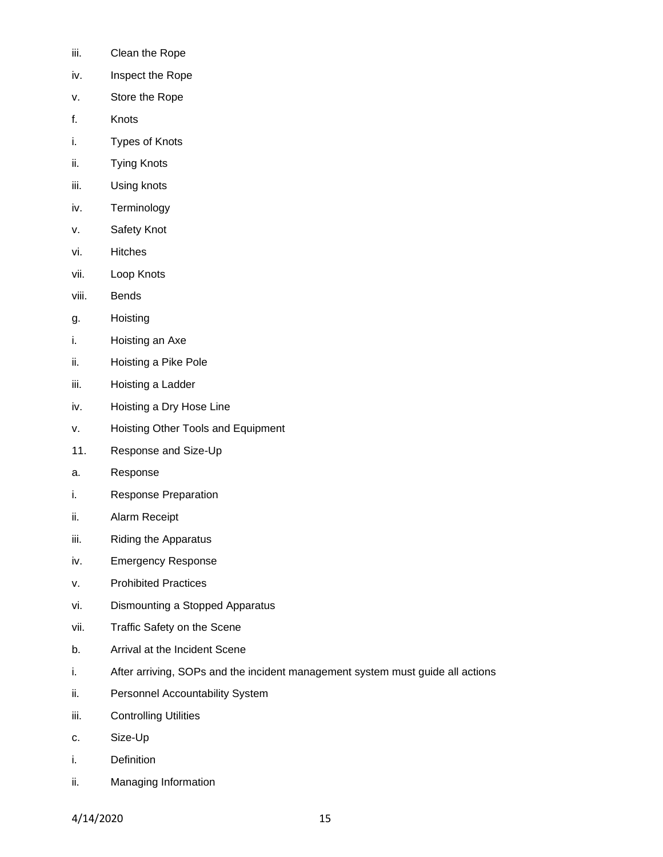- iii. Clean the Rope
- iv. Inspect the Rope
- v. Store the Rope
- f. Knots
- i. Types of Knots
- ii. Tying Knots
- iii. Using knots
- iv. Terminology
- v. Safety Knot
- vi. Hitches
- vii. Loop Knots
- viii. Bends
- g. Hoisting
- i. Hoisting an Axe
- ii. Hoisting a Pike Pole
- iii. Hoisting a Ladder
- iv. Hoisting a Dry Hose Line
- v. Hoisting Other Tools and Equipment
- 11. Response and Size-Up
- a. Response
- i. Response Preparation
- ii. Alarm Receipt
- iii. Riding the Apparatus
- iv. Emergency Response
- v. Prohibited Practices
- vi. Dismounting a Stopped Apparatus
- vii. Traffic Safety on the Scene
- b. Arrival at the Incident Scene
- i. After arriving, SOPs and the incident management system must guide all actions
- ii. Personnel Accountability System
- iii. Controlling Utilities
- c. Size-Up
- i. Definition
- ii. Managing Information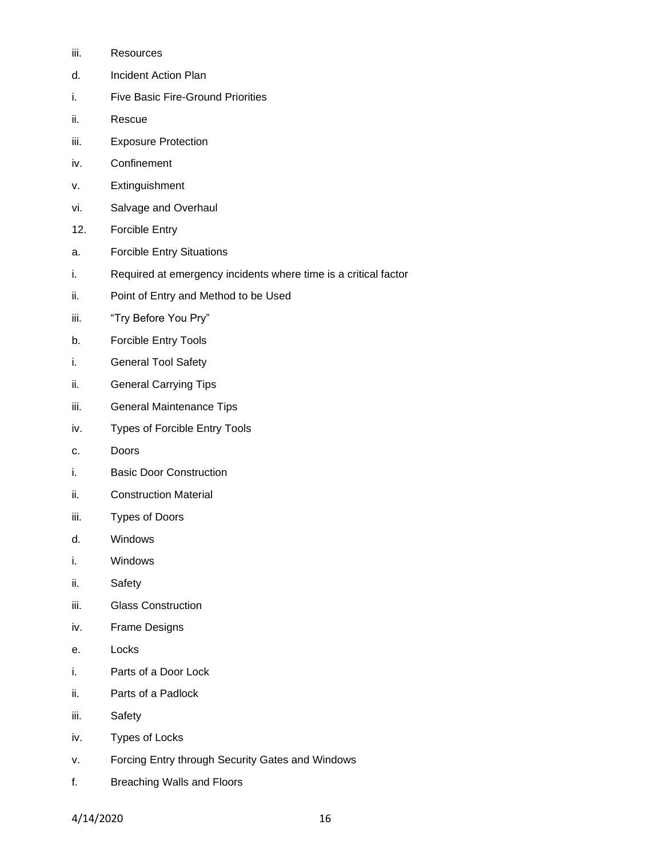- iii. Resources
- d. Incident Action Plan
- i. Five Basic Fire-Ground Priorities
- ii. Rescue
- iii. Exposure Protection
- iv. Confinement
- v. Extinguishment
- vi. Salvage and Overhaul
- 12. Forcible Entry
- a. Forcible Entry Situations
- i. Required at emergency incidents where time is a critical factor
- ii. Point of Entry and Method to be Used
- iii. "Try Before You Pry"
- b. Forcible Entry Tools
- i. General Tool Safety
- ii. General Carrying Tips
- iii. General Maintenance Tips
- iv. Types of Forcible Entry Tools
- c. Doors
- i. Basic Door Construction
- ii. Construction Material
- iii. Types of Doors
- d. Windows
- i. Windows
- ii. Safety
- iii. Glass Construction
- iv. Frame Designs
- e. Locks
- i. Parts of a Door Lock
- ii. Parts of a Padlock
- iii. Safety
- iv. Types of Locks
- v. Forcing Entry through Security Gates and Windows
- f. Breaching Walls and Floors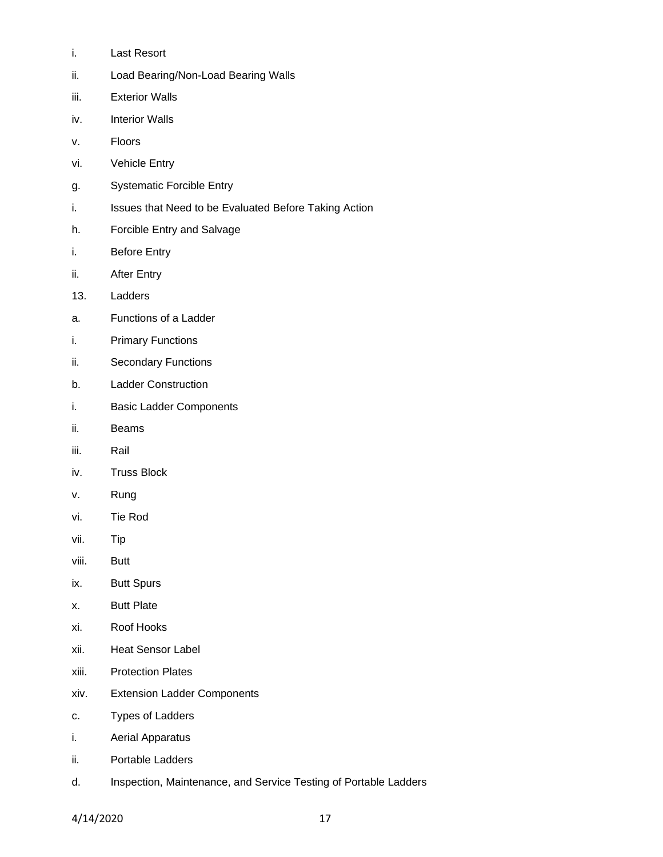- i. Last Resort
- ii. Load Bearing/Non-Load Bearing Walls
- iii. Exterior Walls
- iv. Interior Walls
- v. Floors
- vi. Vehicle Entry
- g. Systematic Forcible Entry
- i. Issues that Need to be Evaluated Before Taking Action
- h. Forcible Entry and Salvage
- i. Before Entry
- ii. After Entry
- 13. Ladders
- a. Functions of a Ladder
- i. Primary Functions
- ii. Secondary Functions
- b. Ladder Construction
- i. Basic Ladder Components
- ii. Beams
- iii. Rail
- iv. Truss Block
- v. Rung
- vi. Tie Rod
- vii. Tip
- viii. Butt
- ix. Butt Spurs
- x. Butt Plate
- xi. Roof Hooks
- xii. Heat Sensor Label
- xiii. Protection Plates
- xiv. Extension Ladder Components
- c. Types of Ladders
- i. Aerial Apparatus
- ii. Portable Ladders
- d. Inspection, Maintenance, and Service Testing of Portable Ladders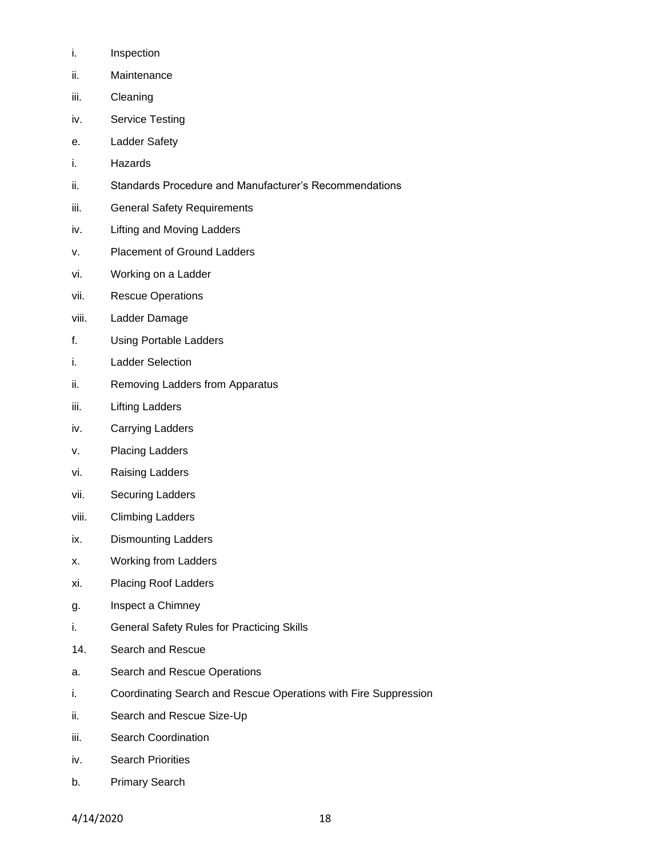- i. Inspection
- ii. Maintenance
- iii. Cleaning
- iv. Service Testing
- e. Ladder Safety
- i. Hazards
- ii. Standards Procedure and Manufacturer's Recommendations
- iii. General Safety Requirements
- iv. Lifting and Moving Ladders
- v. Placement of Ground Ladders
- vi. Working on a Ladder
- vii. Rescue Operations
- viii. Ladder Damage
- f. Using Portable Ladders
- i. Ladder Selection
- ii. Removing Ladders from Apparatus
- iii. Lifting Ladders
- iv. Carrying Ladders
- v. Placing Ladders
- vi. Raising Ladders
- vii. Securing Ladders
- viii. Climbing Ladders
- ix. Dismounting Ladders
- x. Working from Ladders
- xi. Placing Roof Ladders
- g. Inspect a Chimney
- i. General Safety Rules for Practicing Skills
- 14. Search and Rescue
- a. Search and Rescue Operations
- i. Coordinating Search and Rescue Operations with Fire Suppression
- ii. Search and Rescue Size-Up
- iii. Search Coordination
- iv. Search Priorities
- b. Primary Search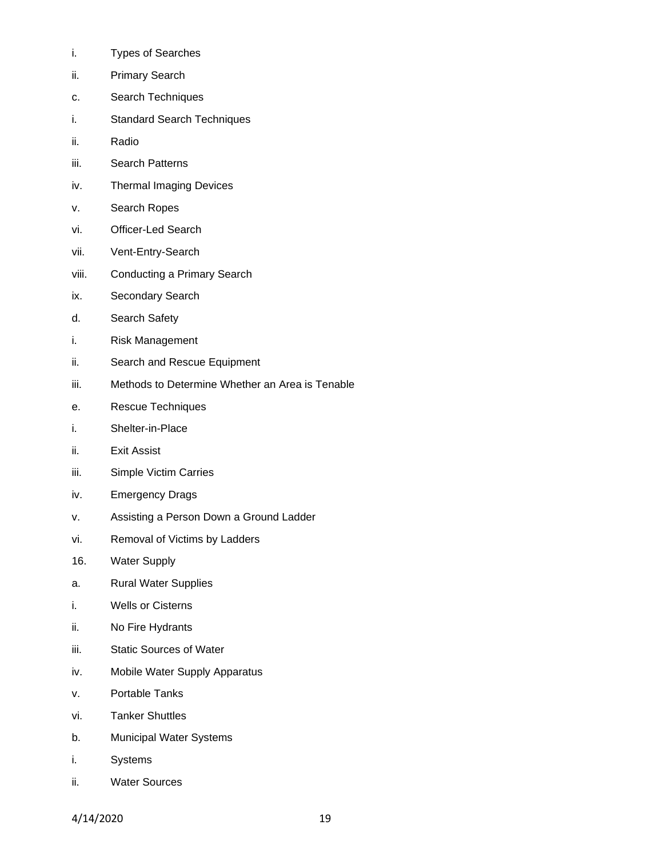- i. Types of Searches
- ii. Primary Search
- c. Search Techniques
- i. Standard Search Techniques
- ii. Radio
- iii. Search Patterns
- iv. Thermal Imaging Devices
- v. Search Ropes
- vi. Officer-Led Search
- vii. Vent-Entry-Search
- viii. Conducting a Primary Search
- ix. Secondary Search
- d. Search Safety
- i. Risk Management
- ii. Search and Rescue Equipment
- iii. Methods to Determine Whether an Area is Tenable
- e. Rescue Techniques
- i. Shelter-in-Place
- ii. Exit Assist
- iii. Simple Victim Carries
- iv. Emergency Drags
- v. Assisting a Person Down a Ground Ladder
- vi. Removal of Victims by Ladders
- 16. Water Supply
- a. Rural Water Supplies
- i. Wells or Cisterns
- ii. No Fire Hydrants
- iii. Static Sources of Water
- iv. Mobile Water Supply Apparatus
- v. Portable Tanks
- vi. Tanker Shuttles
- b. Municipal Water Systems
- i. Systems
- ii. Water Sources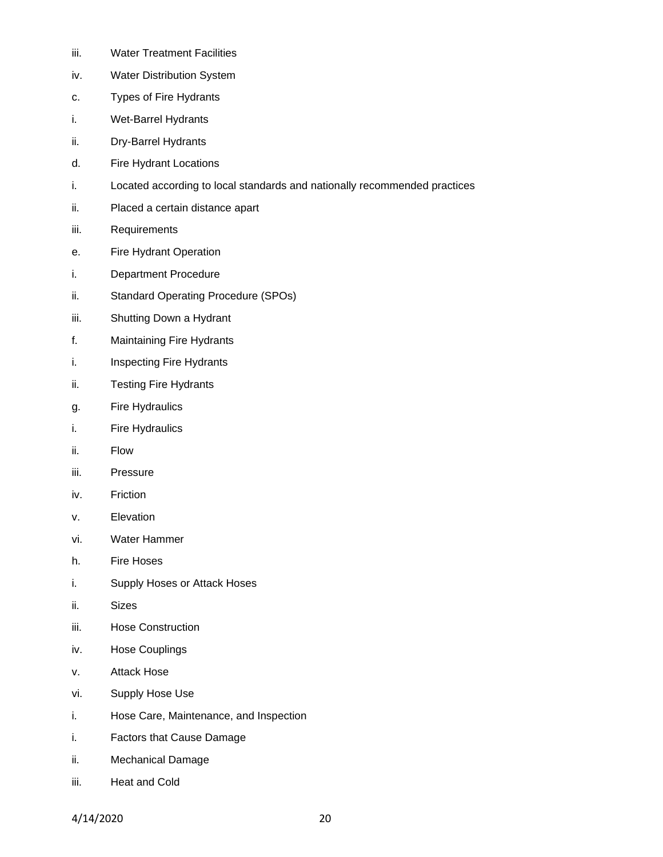- iii. Water Treatment Facilities
- iv. Water Distribution System
- c. Types of Fire Hydrants
- i. Wet-Barrel Hydrants
- ii. Dry-Barrel Hydrants
- d. Fire Hydrant Locations
- i. Located according to local standards and nationally recommended practices
- ii. Placed a certain distance apart
- iii. Requirements
- e. Fire Hydrant Operation
- i. Department Procedure
- ii. Standard Operating Procedure (SPOs)
- iii. Shutting Down a Hydrant
- f. Maintaining Fire Hydrants
- i. Inspecting Fire Hydrants
- ii. Testing Fire Hydrants
- g. Fire Hydraulics
- i. Fire Hydraulics
- ii. Flow
- iii. Pressure
- iv. Friction
- v. Elevation
- vi. Water Hammer
- h. Fire Hoses
- i. Supply Hoses or Attack Hoses
- ii. Sizes
- iii. Hose Construction
- iv. Hose Couplings
- v. Attack Hose
- vi. Supply Hose Use
- i. Hose Care, Maintenance, and Inspection
- i. Factors that Cause Damage
- ii. Mechanical Damage
- iii. Heat and Cold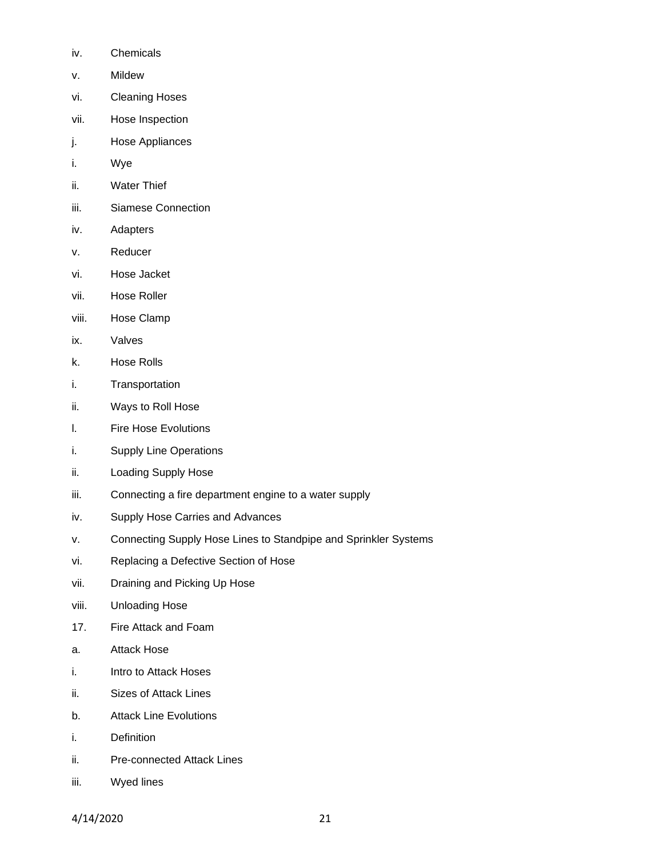- iv. Chemicals
- v. Mildew
- vi. Cleaning Hoses
- vii. Hose Inspection
- j. Hose Appliances
- i. Wye
- ii. Water Thief
- iii. Siamese Connection
- iv. Adapters
- v. Reducer
- vi. Hose Jacket
- vii. Hose Roller
- viii. Hose Clamp
- ix. Valves
- k. Hose Rolls
- i. Transportation
- ii. Ways to Roll Hose
- l. Fire Hose Evolutions
- i. Supply Line Operations
- ii. Loading Supply Hose
- iii. Connecting a fire department engine to a water supply
- iv. Supply Hose Carries and Advances
- v. Connecting Supply Hose Lines to Standpipe and Sprinkler Systems
- vi. Replacing a Defective Section of Hose
- vii. Draining and Picking Up Hose
- viii. Unloading Hose
- 17. Fire Attack and Foam
- a. Attack Hose
- i. Intro to Attack Hoses
- ii. Sizes of Attack Lines
- b. Attack Line Evolutions
- i. Definition
- ii. Pre-connected Attack Lines
- iii. Wyed lines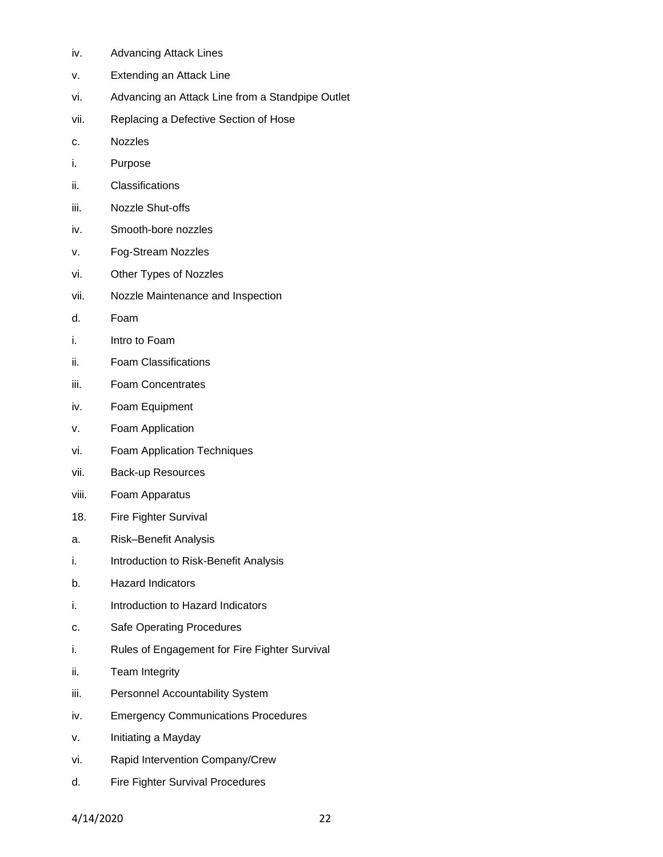- iv. Advancing Attack Lines
- v. Extending an Attack Line
- vi. Advancing an Attack Line from a Standpipe Outlet
- vii. Replacing a Defective Section of Hose
- c. Nozzles
- i. Purpose
- ii. Classifications
- iii. Nozzle Shut-offs
- iv. Smooth-bore nozzles
- v. Fog-Stream Nozzles
- vi. Other Types of Nozzles
- vii. Nozzle Maintenance and Inspection
- d. Foam
- i. Intro to Foam
- ii. Foam Classifications
- iii. Foam Concentrates
- iv. Foam Equipment
- v. Foam Application
- vi. Foam Application Techniques
- vii. Back-up Resources
- viii. Foam Apparatus
- 18. Fire Fighter Survival
- a. Risk–Benefit Analysis
- i. Introduction to Risk-Benefit Analysis
- b. Hazard Indicators
- i. Introduction to Hazard Indicators
- c. Safe Operating Procedures
- i. Rules of Engagement for Fire Fighter Survival
- ii. Team Integrity
- iii. Personnel Accountability System
- iv. Emergency Communications Procedures
- v. Initiating a Mayday
- vi. Rapid Intervention Company/Crew
- d. Fire Fighter Survival Procedures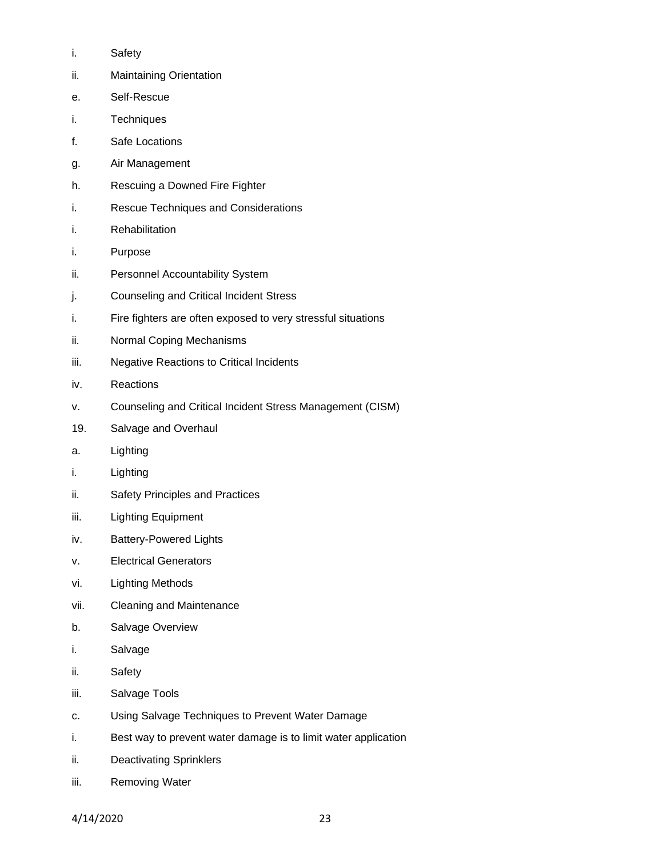- i. Safety
- ii. Maintaining Orientation
- e. Self-Rescue
- i. Techniques
- f. Safe Locations
- g. Air Management
- h. Rescuing a Downed Fire Fighter
- i. Rescue Techniques and Considerations
- i. Rehabilitation
- i. Purpose
- ii. Personnel Accountability System
- j. Counseling and Critical Incident Stress
- i. Fire fighters are often exposed to very stressful situations
- ii. Normal Coping Mechanisms
- iii. Negative Reactions to Critical Incidents
- iv. Reactions
- v. Counseling and Critical Incident Stress Management (CISM)
- 19. Salvage and Overhaul
- a. Lighting
- i. Lighting
- ii. Safety Principles and Practices
- iii. Lighting Equipment
- iv. Battery-Powered Lights
- v. Electrical Generators
- vi. Lighting Methods
- vii. Cleaning and Maintenance
- b. Salvage Overview
- i. Salvage
- ii. Safety
- iii. Salvage Tools
- c. Using Salvage Techniques to Prevent Water Damage
- i. Best way to prevent water damage is to limit water application
- ii. Deactivating Sprinklers
- iii. Removing Water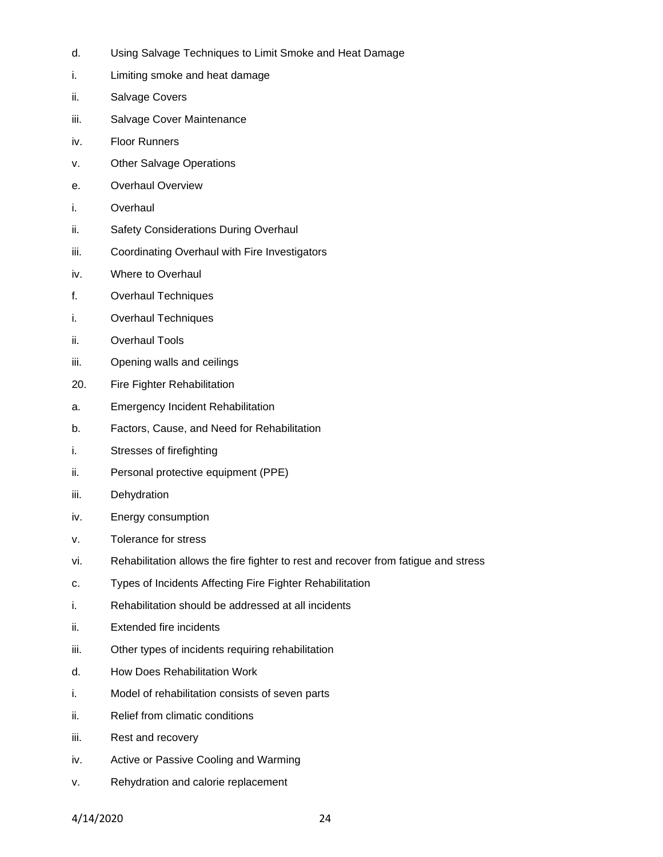- d. Using Salvage Techniques to Limit Smoke and Heat Damage
- i. Limiting smoke and heat damage
- ii. Salvage Covers
- iii. Salvage Cover Maintenance
- iv. Floor Runners
- v. Other Salvage Operations
- e. Overhaul Overview
- i. Overhaul
- ii. Safety Considerations During Overhaul
- iii. Coordinating Overhaul with Fire Investigators
- iv. Where to Overhaul
- f. Overhaul Techniques
- i. Overhaul Techniques
- ii. Overhaul Tools
- iii. Opening walls and ceilings
- 20. Fire Fighter Rehabilitation
- a. Emergency Incident Rehabilitation
- b. Factors, Cause, and Need for Rehabilitation
- i. Stresses of firefighting
- ii. Personal protective equipment (PPE)
- iii. Dehydration
- iv. Energy consumption
- v. Tolerance for stress
- vi. Rehabilitation allows the fire fighter to rest and recover from fatigue and stress
- c. Types of Incidents Affecting Fire Fighter Rehabilitation
- i. Rehabilitation should be addressed at all incidents
- ii. Extended fire incidents
- iii. Other types of incidents requiring rehabilitation
- d. How Does Rehabilitation Work
- i. Model of rehabilitation consists of seven parts
- ii. Relief from climatic conditions
- iii. Rest and recovery
- iv. Active or Passive Cooling and Warming
- v. Rehydration and calorie replacement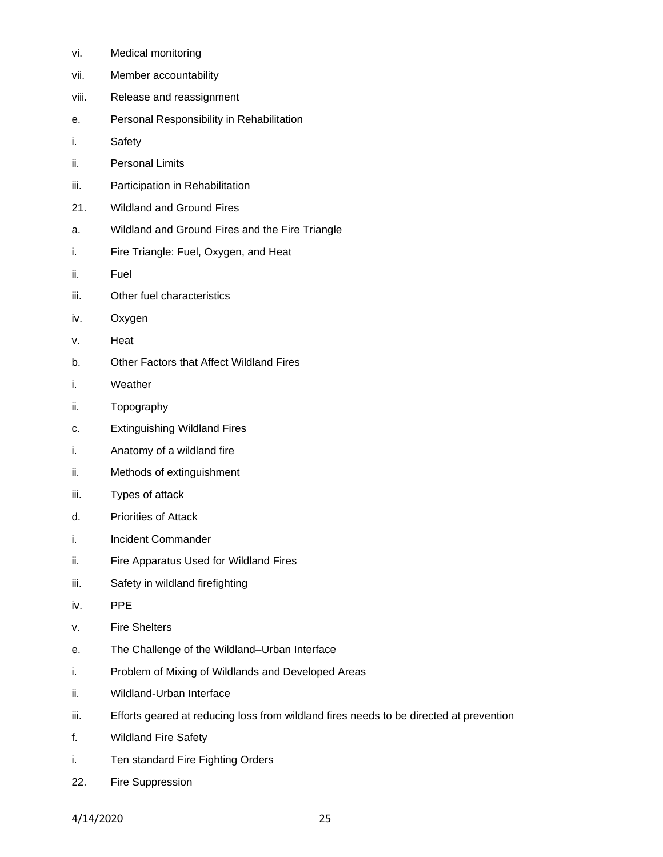| vi.   | Medical monitoring                                                                     |
|-------|----------------------------------------------------------------------------------------|
| vii.  | Member accountability                                                                  |
| viii. | Release and reassignment                                                               |
| е.    | Personal Responsibility in Rehabilitation                                              |
| i.    | Safety                                                                                 |
| ii.   | <b>Personal Limits</b>                                                                 |
| iii.  | Participation in Rehabilitation                                                        |
| 21.   | <b>Wildland and Ground Fires</b>                                                       |
| a.    | Wildland and Ground Fires and the Fire Triangle                                        |
| i.    | Fire Triangle: Fuel, Oxygen, and Heat                                                  |
| ii.   | Fuel                                                                                   |
| iii.  | Other fuel characteristics                                                             |
| İV.   | Oxygen                                                                                 |
| ν.    | Heat                                                                                   |
| b.    | <b>Other Factors that Affect Wildland Fires</b>                                        |
| i.    | Weather                                                                                |
| ii.   | Topography                                                                             |
| c.    | <b>Extinguishing Wildland Fires</b>                                                    |
| i.    | Anatomy of a wildland fire                                                             |
| ii.   | Methods of extinguishment                                                              |
| iii.  | Types of attack                                                                        |
| d.    | <b>Priorities of Attack</b>                                                            |
| i.    | Incident Commander                                                                     |
| ii.   | Fire Apparatus Used for Wildland Fires                                                 |
| iii.  | Safety in wildland firefighting                                                        |
| İV.   | <b>PPE</b>                                                                             |
| ν.    | <b>Fire Shelters</b>                                                                   |
| е.    | The Challenge of the Wildland-Urban Interface                                          |
| i.    | Problem of Mixing of Wildlands and Developed Areas                                     |
| ii.   | Wildland-Urban Interface                                                               |
| iii.  | Efforts geared at reducing loss from wildland fires needs to be directed at prevention |
| f.    | <b>Wildland Fire Safety</b>                                                            |
| i.    | Ten standard Fire Fighting Orders                                                      |
| 22.   | Fire Suppression                                                                       |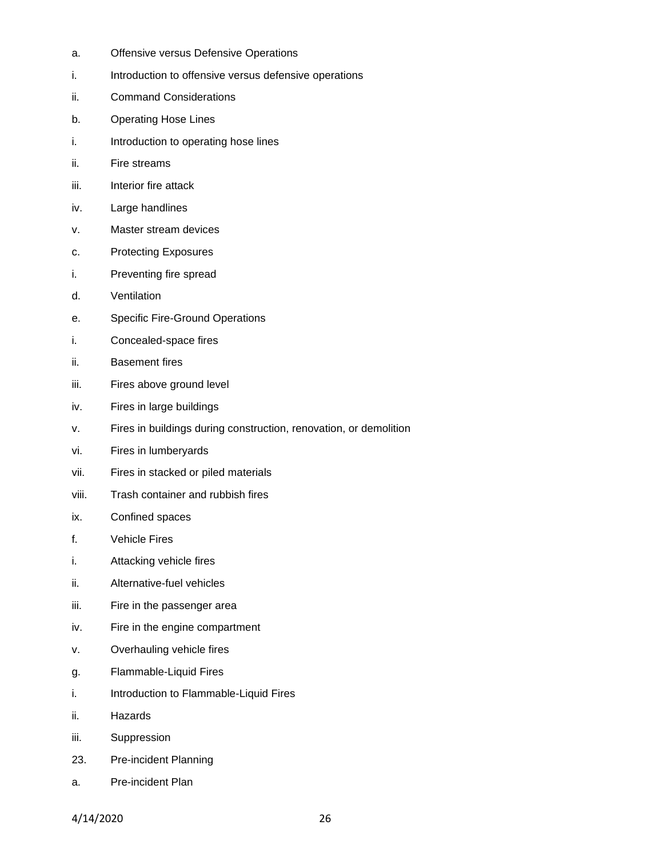- a. Offensive versus Defensive Operations
- i. Introduction to offensive versus defensive operations
- ii. Command Considerations
- b. Operating Hose Lines
- i. Introduction to operating hose lines
- ii. Fire streams
- iii. Interior fire attack
- iv. Large handlines
- v. Master stream devices
- c. Protecting Exposures
- i. Preventing fire spread
- d. Ventilation
- e. Specific Fire-Ground Operations
- i. Concealed-space fires
- ii. Basement fires
- iii. Fires above ground level
- iv. Fires in large buildings
- v. Fires in buildings during construction, renovation, or demolition
- vi. Fires in lumberyards
- vii. Fires in stacked or piled materials
- viii. Trash container and rubbish fires
- ix. Confined spaces
- f. Vehicle Fires
- i. Attacking vehicle fires
- ii. Alternative-fuel vehicles
- iii. Fire in the passenger area
- iv. Fire in the engine compartment
- v. Overhauling vehicle fires
- g. Flammable-Liquid Fires
- i. Introduction to Flammable-Liquid Fires
- ii. Hazards
- iii. Suppression
- 23. Pre-incident Planning
- a. Pre-incident Plan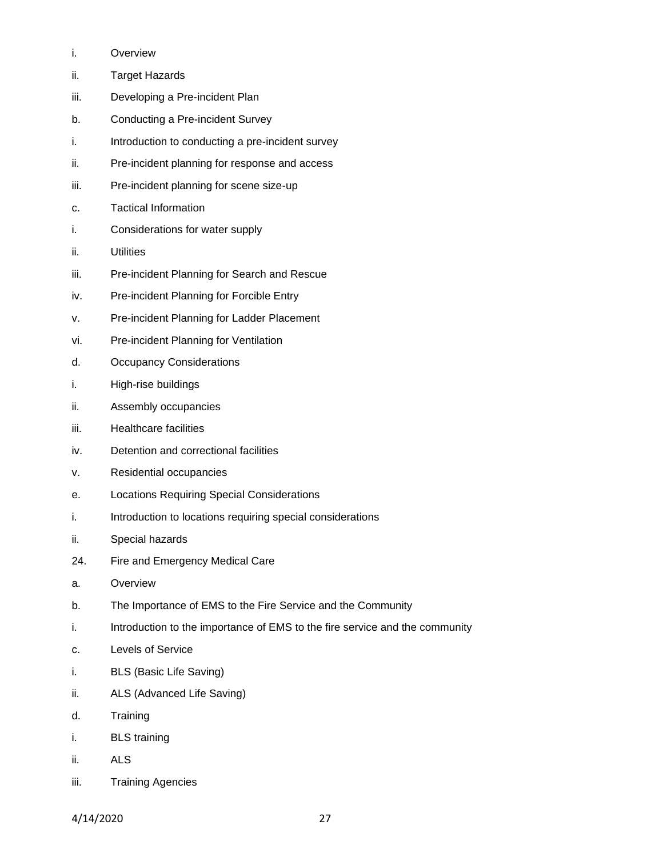- i. Overview
- ii. Target Hazards
- iii. Developing a Pre-incident Plan
- b. Conducting a Pre-incident Survey
- i. Introduction to conducting a pre-incident survey
- ii. Pre-incident planning for response and access
- iii. Pre-incident planning for scene size-up
- c. Tactical Information
- i. Considerations for water supply
- ii. Utilities
- iii. Pre-incident Planning for Search and Rescue
- iv. Pre-incident Planning for Forcible Entry
- v. Pre-incident Planning for Ladder Placement
- vi. Pre-incident Planning for Ventilation
- d. Occupancy Considerations
- i. High-rise buildings
- ii. Assembly occupancies
- iii. Healthcare facilities
- iv. Detention and correctional facilities
- v. Residential occupancies
- e. Locations Requiring Special Considerations
- i. Introduction to locations requiring special considerations
- ii. Special hazards
- 24. Fire and Emergency Medical Care
- a. Overview
- b. The Importance of EMS to the Fire Service and the Community
- i. Introduction to the importance of EMS to the fire service and the community
- c. Levels of Service
- i. BLS (Basic Life Saving)
- ii. ALS (Advanced Life Saving)
- d. Training
- i. BLS training
- ii. ALS
- iii. Training Agencies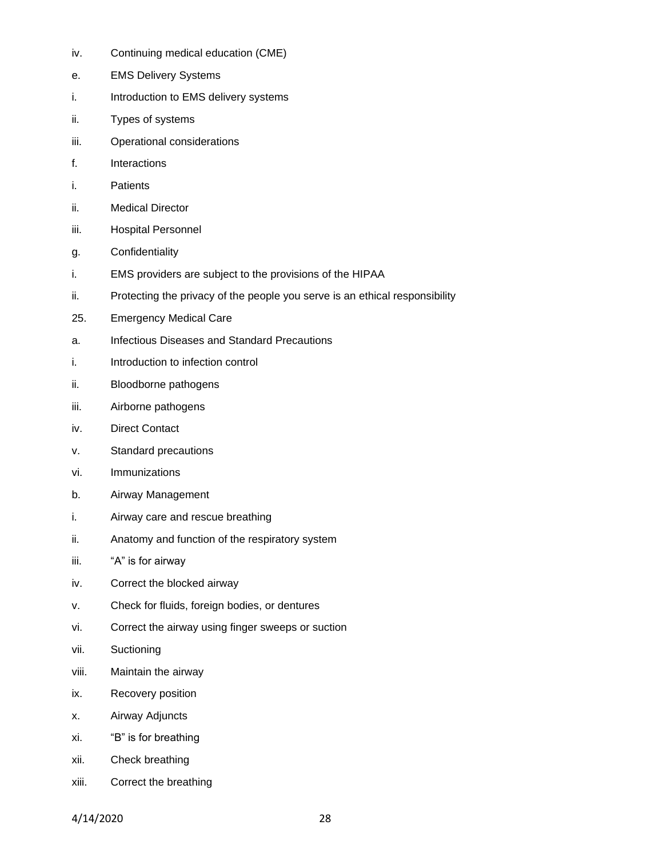- iv. Continuing medical education (CME)
- e. EMS Delivery Systems
- i. Introduction to EMS delivery systems
- ii. Types of systems
- iii. Operational considerations
- f. Interactions
- i. Patients
- ii. Medical Director
- iii. Hospital Personnel
- g. Confidentiality
- i. EMS providers are subject to the provisions of the HIPAA
- ii. Protecting the privacy of the people you serve is an ethical responsibility
- 25. Emergency Medical Care
- a. Infectious Diseases and Standard Precautions
- i. Introduction to infection control
- ii. Bloodborne pathogens
- iii. Airborne pathogens
- iv. Direct Contact
- v. Standard precautions
- vi. Immunizations
- b. Airway Management
- i. Airway care and rescue breathing
- ii. Anatomy and function of the respiratory system
- iii. "A" is for airway
- iv. Correct the blocked airway
- v. Check for fluids, foreign bodies, or dentures
- vi. Correct the airway using finger sweeps or suction
- vii. Suctioning
- viii. Maintain the airway
- ix. Recovery position
- x. Airway Adjuncts
- xi. "B" is for breathing
- xii. Check breathing
- xiii. Correct the breathing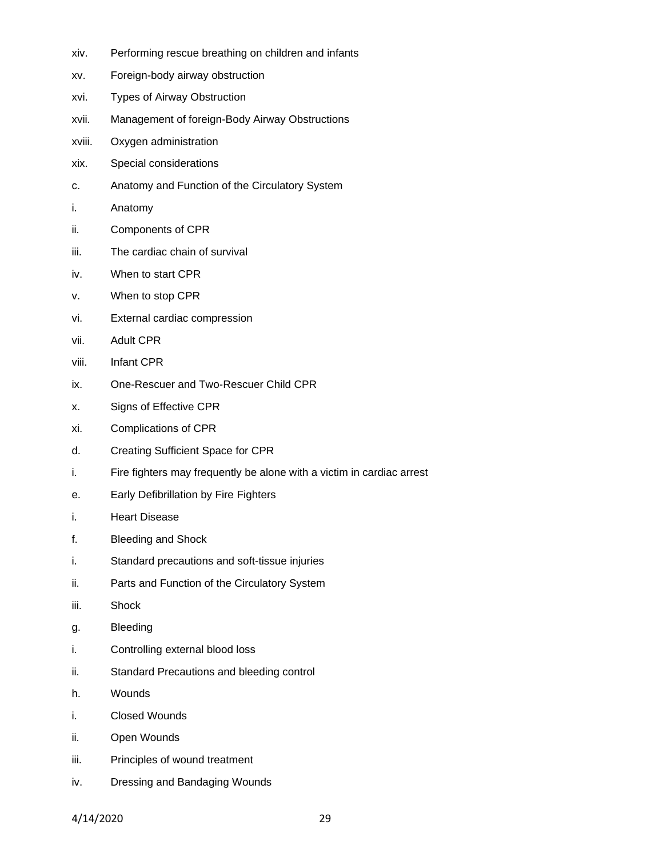- xiv. Performing rescue breathing on children and infants
- xv. Foreign-body airway obstruction
- xvi. Types of Airway Obstruction
- xvii. Management of foreign-Body Airway Obstructions
- xviii. Oxygen administration
- xix. Special considerations
- c. Anatomy and Function of the Circulatory System
- i. Anatomy
- ii. Components of CPR
- iii. The cardiac chain of survival
- iv. When to start CPR
- v. When to stop CPR
- vi. External cardiac compression
- vii. Adult CPR
- viii. Infant CPR
- ix. One-Rescuer and Two-Rescuer Child CPR
- x. Signs of Effective CPR
- xi. Complications of CPR
- d. Creating Sufficient Space for CPR
- i. Fire fighters may frequently be alone with a victim in cardiac arrest
- e. Early Defibrillation by Fire Fighters
- i. Heart Disease
- f. Bleeding and Shock
- i. Standard precautions and soft-tissue injuries
- ii. Parts and Function of the Circulatory System
- iii. Shock
- g. Bleeding
- i. Controlling external blood loss
- ii. Standard Precautions and bleeding control
- h. Wounds
- i. Closed Wounds
- ii. Open Wounds
- iii. Principles of wound treatment
- iv. Dressing and Bandaging Wounds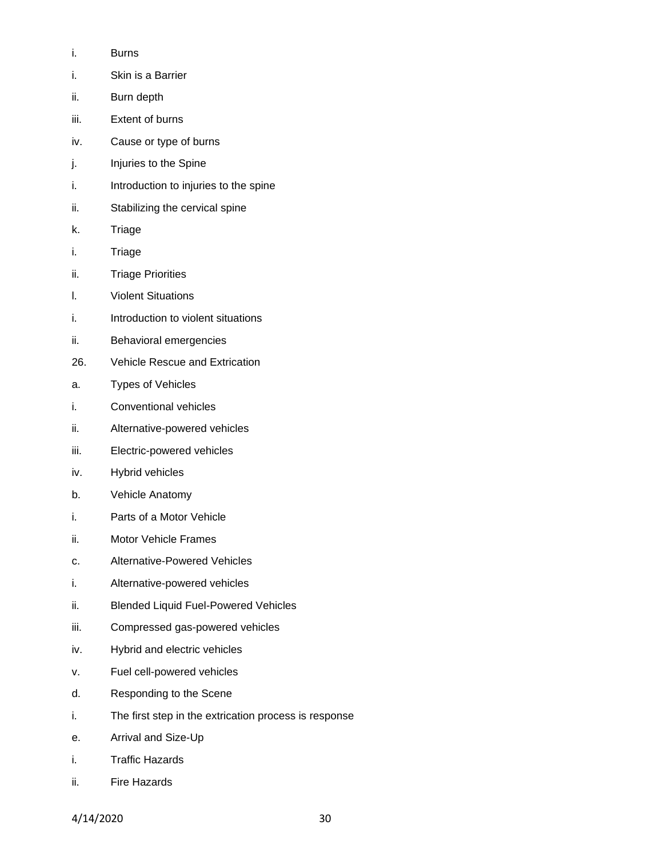- i. Burns
- i. Skin is a Barrier
- ii. Burn depth
- iii. Extent of burns
- iv. Cause or type of burns
- j. Injuries to the Spine
- i. Introduction to injuries to the spine
- ii. Stabilizing the cervical spine
- k. Triage
- i. Triage
- ii. Triage Priorities
- l. Violent Situations
- i. Introduction to violent situations
- ii. Behavioral emergencies
- 26. Vehicle Rescue and Extrication
- a. Types of Vehicles
- i. Conventional vehicles
- ii. Alternative-powered vehicles
- iii. Electric-powered vehicles
- iv. Hybrid vehicles
- b. Vehicle Anatomy
- i. Parts of a Motor Vehicle
- ii. Motor Vehicle Frames
- c. Alternative-Powered Vehicles
- i. Alternative-powered vehicles
- ii. Blended Liquid Fuel-Powered Vehicles
- iii. Compressed gas-powered vehicles
- iv. Hybrid and electric vehicles
- v. Fuel cell-powered vehicles
- d. Responding to the Scene
- i. The first step in the extrication process is response
- e. Arrival and Size-Up
- i. Traffic Hazards
- ii. Fire Hazards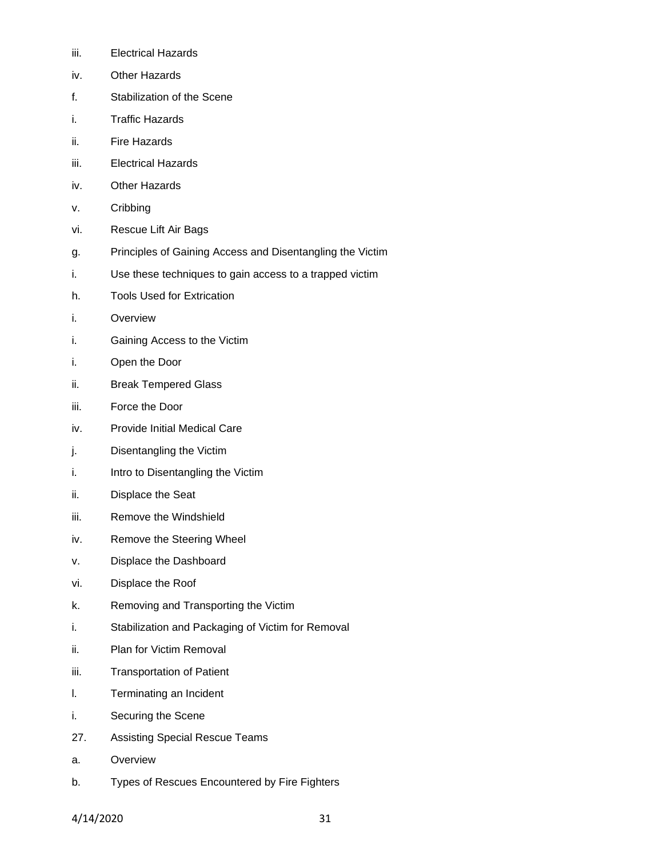- iii. Electrical Hazards
- iv. Other Hazards
- f. Stabilization of the Scene
- i. Traffic Hazards
- ii. Fire Hazards
- iii. Electrical Hazards
- iv. Other Hazards
- v. Cribbing
- vi. Rescue Lift Air Bags
- g. Principles of Gaining Access and Disentangling the Victim
- i. Use these techniques to gain access to a trapped victim
- h. Tools Used for Extrication
- i. Overview
- i. Gaining Access to the Victim
- i. Open the Door
- ii. Break Tempered Glass
- iii. Force the Door
- iv. Provide Initial Medical Care
- j. Disentangling the Victim
- i. Intro to Disentangling the Victim
- ii. Displace the Seat
- iii. Remove the Windshield
- iv. Remove the Steering Wheel
- v. Displace the Dashboard
- vi. Displace the Roof
- k. Removing and Transporting the Victim
- i. Stabilization and Packaging of Victim for Removal
- ii. Plan for Victim Removal
- iii. Transportation of Patient
- l. Terminating an Incident
- i. Securing the Scene
- 27. Assisting Special Rescue Teams
- a. Overview
- b. Types of Rescues Encountered by Fire Fighters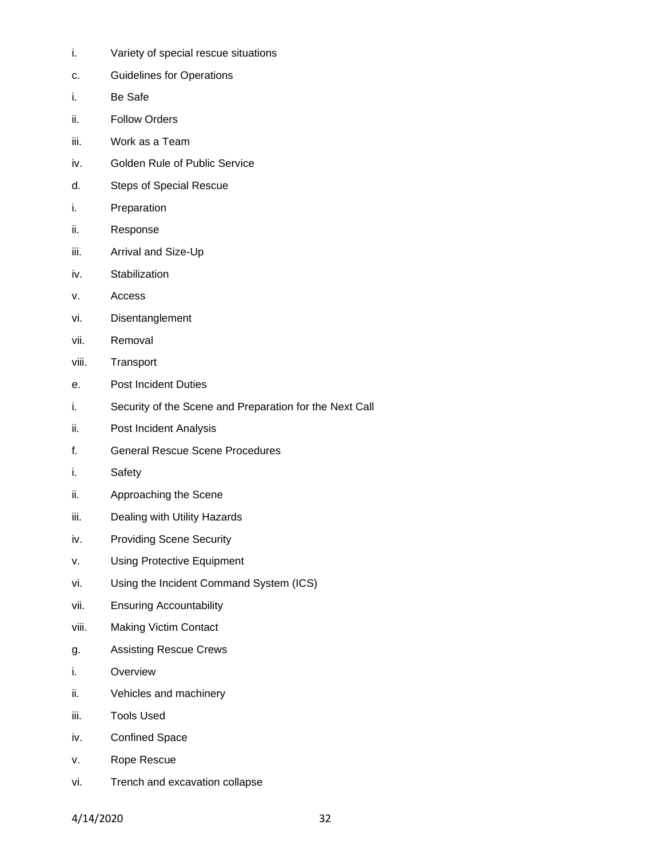- i. Variety of special rescue situations
- c. Guidelines for Operations
- i. Be Safe
- ii. Follow Orders
- iii. Work as a Team
- iv. Golden Rule of Public Service
- d. Steps of Special Rescue
- i. Preparation
- ii. Response
- iii. Arrival and Size-Up
- iv. Stabilization
- v. Access
- vi. Disentanglement
- vii. Removal
- viii. Transport
- e. Post Incident Duties
- i. Security of the Scene and Preparation for the Next Call
- ii. Post Incident Analysis
- f. General Rescue Scene Procedures
- i. Safety
- ii. Approaching the Scene
- iii. Dealing with Utility Hazards
- iv. Providing Scene Security
- v. Using Protective Equipment
- vi. Using the Incident Command System (ICS)
- vii. Ensuring Accountability
- viii. Making Victim Contact
- g. Assisting Rescue Crews
- i. Overview
- ii. Vehicles and machinery
- iii. Tools Used
- iv. Confined Space
- v. Rope Rescue
- vi. Trench and excavation collapse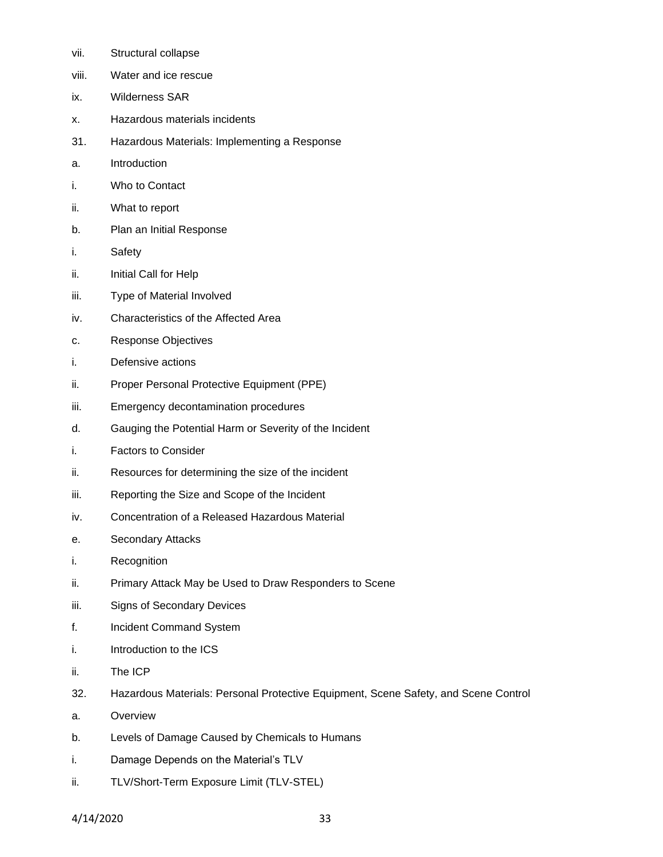- vii. Structural collapse
- viii. Water and ice rescue
- ix. Wilderness SAR
- x. Hazardous materials incidents
- 31. Hazardous Materials: Implementing a Response
- a. Introduction
- i. Who to Contact
- ii. What to report
- b. Plan an Initial Response
- i. Safety
- ii. Initial Call for Help
- iii. Type of Material Involved
- iv. Characteristics of the Affected Area
- c. Response Objectives
- i. Defensive actions
- ii. Proper Personal Protective Equipment (PPE)
- iii. Emergency decontamination procedures
- d. Gauging the Potential Harm or Severity of the Incident
- i. Factors to Consider
- ii. Resources for determining the size of the incident
- iii. Reporting the Size and Scope of the Incident
- iv. Concentration of a Released Hazardous Material
- e. Secondary Attacks
- i. Recognition
- ii. Primary Attack May be Used to Draw Responders to Scene
- iii. Signs of Secondary Devices
- f. Incident Command System
- i. Introduction to the ICS
- ii. The ICP
- 32. Hazardous Materials: Personal Protective Equipment, Scene Safety, and Scene Control
- a. Overview
- b. Levels of Damage Caused by Chemicals to Humans
- i. Damage Depends on the Material's TLV
- ii. TLV/Short-Term Exposure Limit (TLV-STEL)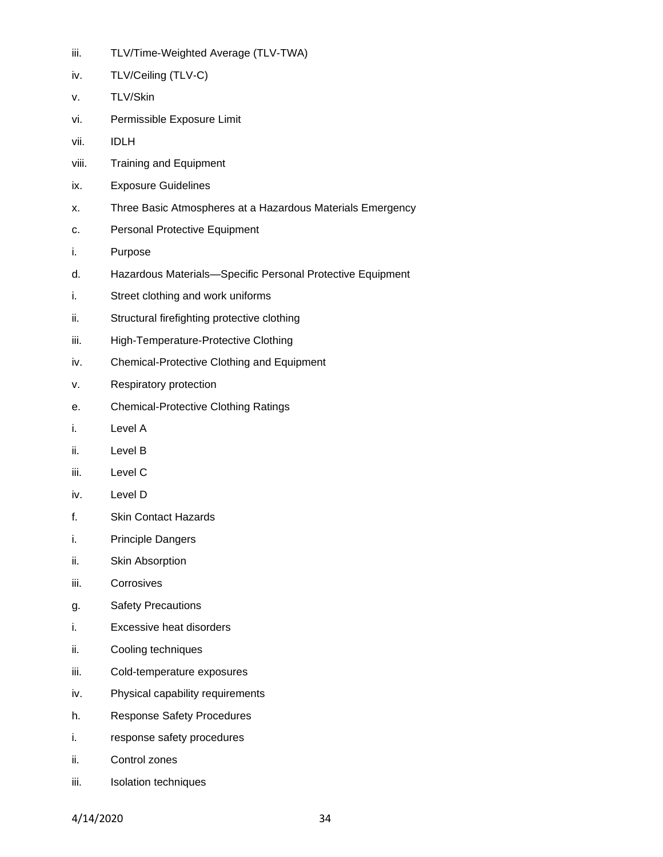| <br>ш. | TLV/Time-Weighted Average (TLV-TWA) |  |
|--------|-------------------------------------|--|
|--------|-------------------------------------|--|

- iv. TLV/Ceiling (TLV-C)
- v. TLV/Skin
- vi. Permissible Exposure Limit
- vii. IDLH
- viii. Training and Equipment
- ix. Exposure Guidelines
- x. Three Basic Atmospheres at a Hazardous Materials Emergency
- c. Personal Protective Equipment
- i. Purpose
- d. Hazardous Materials—Specific Personal Protective Equipment
- i. Street clothing and work uniforms
- ii. Structural firefighting protective clothing
- iii. High-Temperature-Protective Clothing
- iv. Chemical-Protective Clothing and Equipment
- v. Respiratory protection
- e. Chemical-Protective Clothing Ratings
- i. Level A
- ii. Level B
- iii. Level C
- iv. Level D
- f. Skin Contact Hazards
- i. Principle Dangers
- ii. Skin Absorption
- iii. Corrosives
- g. Safety Precautions
- i. Excessive heat disorders
- ii. Cooling techniques
- iii. Cold-temperature exposures
- iv. Physical capability requirements
- h. Response Safety Procedures
- i. response safety procedures
- ii. Control zones
- iii. Isolation techniques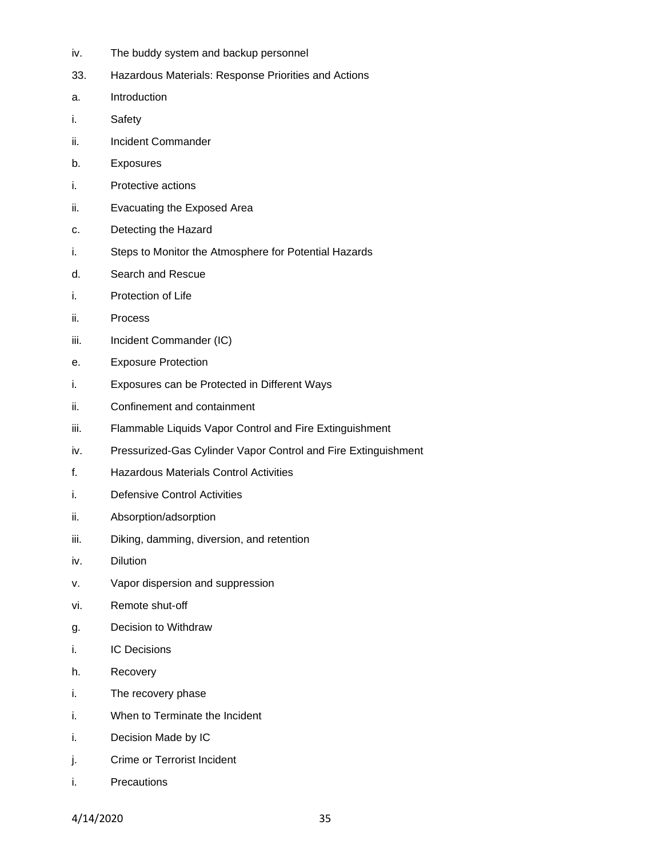- iv. The buddy system and backup personnel
- 33. Hazardous Materials: Response Priorities and Actions
- a. Introduction
- i. Safety
- ii. Incident Commander
- b. Exposures
- i. Protective actions
- ii. Evacuating the Exposed Area
- c. Detecting the Hazard
- i. Steps to Monitor the Atmosphere for Potential Hazards
- d. Search and Rescue
- i. Protection of Life
- ii. Process
- iii. Incident Commander (IC)
- e. Exposure Protection
- i. Exposures can be Protected in Different Ways
- ii. Confinement and containment
- iii. Flammable Liquids Vapor Control and Fire Extinguishment
- iv. Pressurized-Gas Cylinder Vapor Control and Fire Extinguishment
- f. Hazardous Materials Control Activities
- i. Defensive Control Activities
- ii. Absorption/adsorption
- iii. Diking, damming, diversion, and retention
- iv. Dilution
- v. Vapor dispersion and suppression
- vi. Remote shut-off
- g. Decision to Withdraw
- i. IC Decisions
- h. Recovery
- i. The recovery phase
- i. When to Terminate the Incident
- i. Decision Made by IC
- j. Crime or Terrorist Incident
- i. Precautions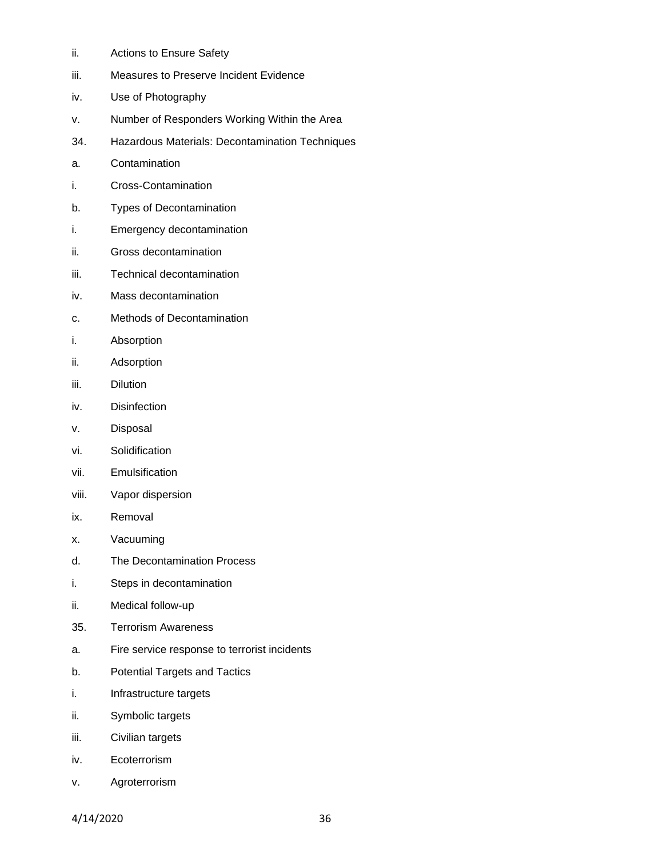- ii. Actions to Ensure Safety
- iii. Measures to Preserve Incident Evidence
- iv. Use of Photography
- v. Number of Responders Working Within the Area
- 34. Hazardous Materials: Decontamination Techniques
- a. Contamination
- i. Cross-Contamination
- b. Types of Decontamination
- i. Emergency decontamination
- ii. Gross decontamination
- iii. Technical decontamination
- iv. Mass decontamination
- c. Methods of Decontamination
- i. Absorption
- ii. Adsorption
- iii. Dilution
- iv. Disinfection
- v. Disposal
- vi. Solidification
- vii. Emulsification
- viii. Vapor dispersion
- ix. Removal
- x. Vacuuming
- d. The Decontamination Process
- i. Steps in decontamination
- ii. Medical follow-up
- 35. Terrorism Awareness
- a. Fire service response to terrorist incidents
- b. Potential Targets and Tactics
- i. Infrastructure targets
- ii. Symbolic targets
- iii. Civilian targets
- iv. Ecoterrorism
- v. Agroterrorism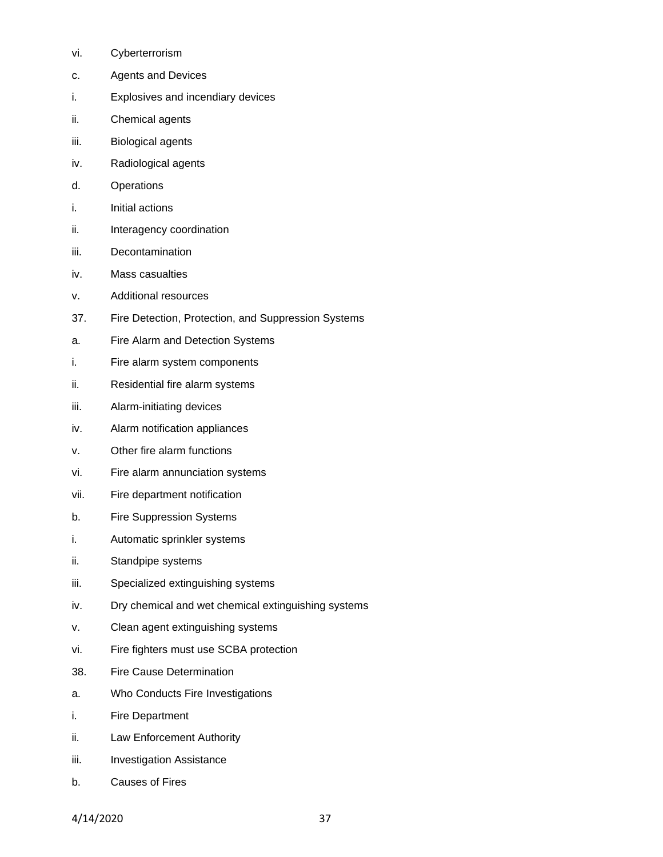- vi. Cyberterrorism
- c. Agents and Devices
- i. Explosives and incendiary devices
- ii. Chemical agents
- iii. Biological agents
- iv. Radiological agents
- d. Operations
- i. Initial actions
- ii. Interagency coordination
- iii. Decontamination
- iv. Mass casualties
- v. Additional resources
- 37. Fire Detection, Protection, and Suppression Systems
- a. Fire Alarm and Detection Systems
- i. Fire alarm system components
- ii. Residential fire alarm systems
- iii. Alarm-initiating devices
- iv. Alarm notification appliances
- v. Other fire alarm functions
- vi. Fire alarm annunciation systems
- vii. Fire department notification
- b. Fire Suppression Systems
- i. Automatic sprinkler systems
- ii. Standpipe systems
- iii. Specialized extinguishing systems
- iv. Dry chemical and wet chemical extinguishing systems
- v. Clean agent extinguishing systems
- vi. Fire fighters must use SCBA protection
- 38. Fire Cause Determination
- a. Who Conducts Fire Investigations
- i. Fire Department
- ii. Law Enforcement Authority
- iii. Investigation Assistance
- b. Causes of Fires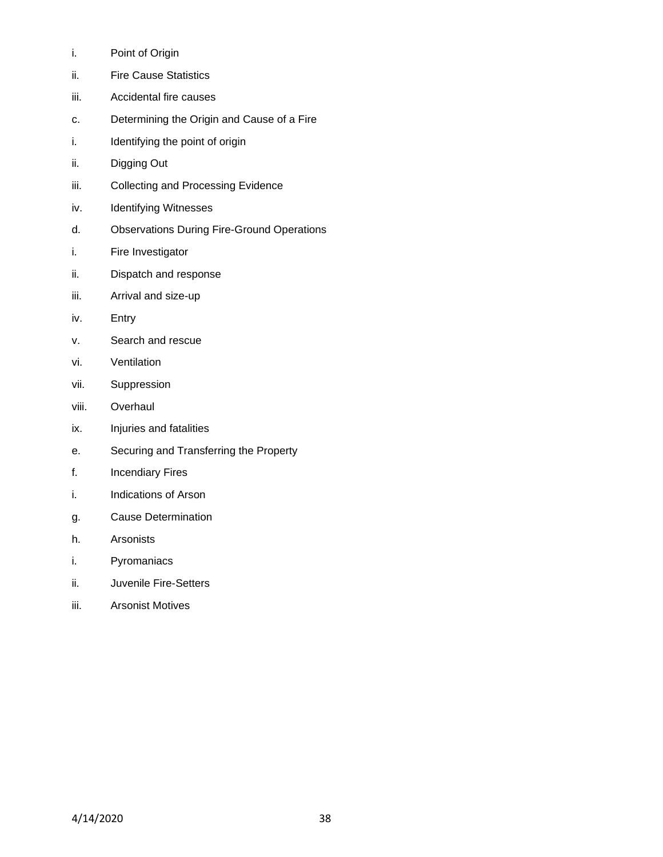- i. Point of Origin
- ii. Fire Cause Statistics
- iii. Accidental fire causes
- c. Determining the Origin and Cause of a Fire
- i. Identifying the point of origin
- ii. Digging Out
- iii. Collecting and Processing Evidence
- iv. Identifying Witnesses
- d. Observations During Fire-Ground Operations
- i. Fire Investigator
- ii. Dispatch and response
- iii. Arrival and size-up
- iv. Entry
- v. Search and rescue
- vi. Ventilation
- vii. Suppression
- viii. Overhaul
- ix. Injuries and fatalities
- e. Securing and Transferring the Property
- f. Incendiary Fires
- i. Indications of Arson
- g. Cause Determination
- h. Arsonists
- i. Pyromaniacs
- ii. Juvenile Fire-Setters
- iii. Arsonist Motives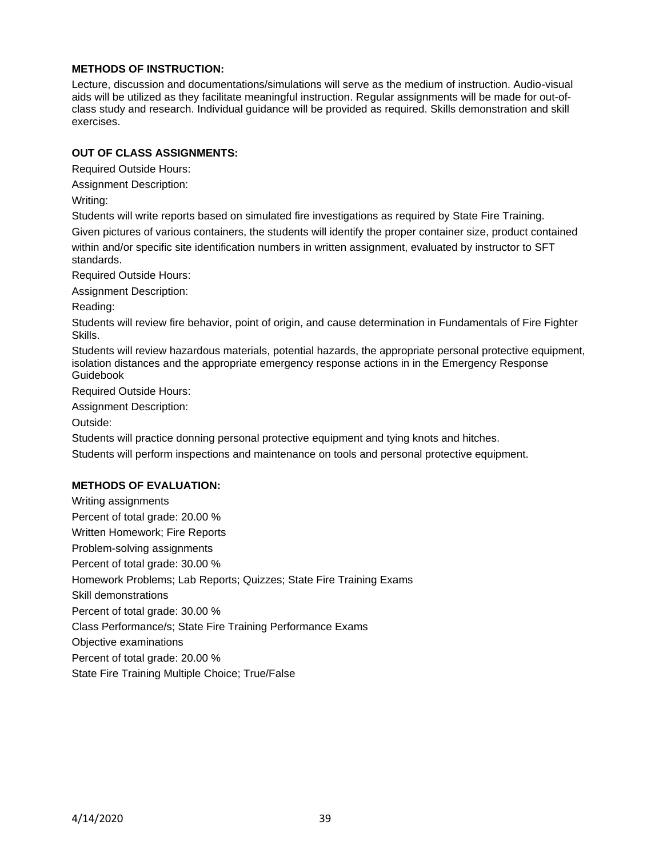### **METHODS OF INSTRUCTION:**

Lecture, discussion and documentations/simulations will serve as the medium of instruction. Audio-visual aids will be utilized as they facilitate meaningful instruction. Regular assignments will be made for out-ofclass study and research. Individual guidance will be provided as required. Skills demonstration and skill exercises.

### **OUT OF CLASS ASSIGNMENTS:**

Required Outside Hours:

Assignment Description:

Writing:

Students will write reports based on simulated fire investigations as required by State Fire Training. Given pictures of various containers, the students will identify the proper container size, product contained within and/or specific site identification numbers in written assignment, evaluated by instructor to SFT standards.

Required Outside Hours:

Assignment Description:

Reading:

Students will review fire behavior, point of origin, and cause determination in Fundamentals of Fire Fighter Skills.

Students will review hazardous materials, potential hazards, the appropriate personal protective equipment, isolation distances and the appropriate emergency response actions in in the Emergency Response Guidebook

Required Outside Hours:

Assignment Description:

Outside:

Students will practice donning personal protective equipment and tying knots and hitches.

Students will perform inspections and maintenance on tools and personal protective equipment.

### **METHODS OF EVALUATION:**

Writing assignments Percent of total grade: 20.00 % Written Homework; Fire Reports Problem-solving assignments Percent of total grade: 30.00 % Homework Problems; Lab Reports; Quizzes; State Fire Training Exams Skill demonstrations Percent of total grade: 30.00 % Class Performance/s; State Fire Training Performance Exams Objective examinations Percent of total grade: 20.00 %

State Fire Training Multiple Choice; True/False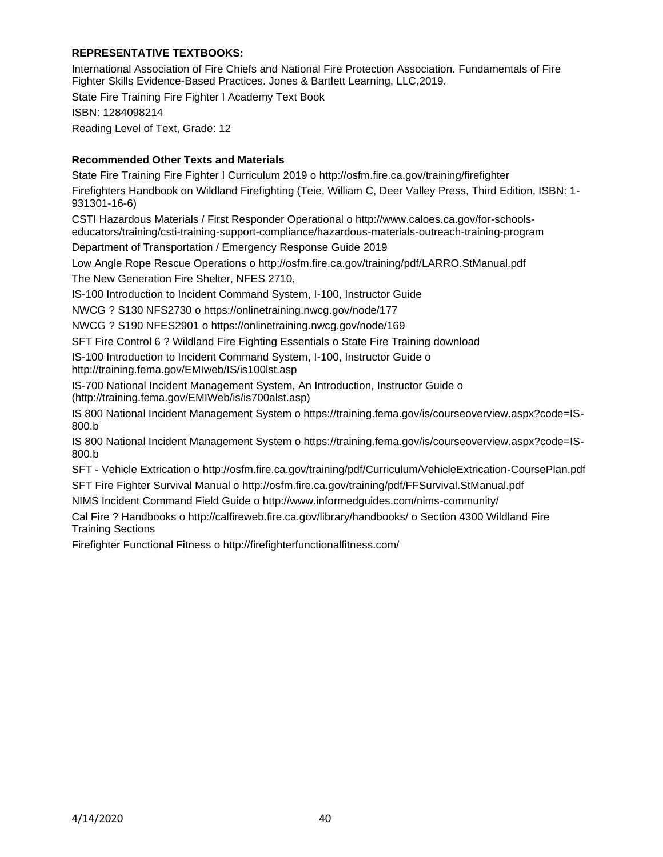# **REPRESENTATIVE TEXTBOOKS:**

International Association of Fire Chiefs and National Fire Protection Association. Fundamentals of Fire Fighter Skills Evidence-Based Practices. Jones & Bartlett Learning, LLC,2019.

State Fire Training Fire Fighter I Academy Text Book ISBN: 1284098214 Reading Level of Text, Grade: 12

# **Recommended Other Texts and Materials**

State Fire Training Fire Fighter I Curriculum 2019 o http://osfm.fire.ca.gov/training/firefighter Firefighters Handbook on Wildland Firefighting (Teie, William C, Deer Valley Press, Third Edition, ISBN: 1- 931301-16-6)

CSTI Hazardous Materials / First Responder Operational o http://www.caloes.ca.gov/for-schoolseducators/training/csti-training-support-compliance/hazardous-materials-outreach-training-program

Department of Transportation / Emergency Response Guide 2019

Low Angle Rope Rescue Operations o http://osfm.fire.ca.gov/training/pdf/LARRO.StManual.pdf The New Generation Fire Shelter, NFES 2710,

IS-100 Introduction to Incident Command System, I-100, Instructor Guide

NWCG ? S130 NFS2730 o https://onlinetraining.nwcg.gov/node/177

NWCG ? S190 NFES2901 o https://onlinetraining.nwcg.gov/node/169

SFT Fire Control 6 ? Wildland Fire Fighting Essentials o State Fire Training download

IS-100 Introduction to Incident Command System, I-100, Instructor Guide o http://training.fema.gov/EMIweb/IS/is100lst.asp

IS-700 National Incident Management System, An Introduction, Instructor Guide o (http://training.fema.gov/EMIWeb/is/is700alst.asp)

IS 800 National Incident Management System o https://training.fema.gov/is/courseoverview.aspx?code=IS-800.b

IS 800 National Incident Management System o https://training.fema.gov/is/courseoverview.aspx?code=IS-800.b

SFT - Vehicle Extrication o http://osfm.fire.ca.gov/training/pdf/Curriculum/VehicleExtrication-CoursePlan.pdf

SFT Fire Fighter Survival Manual o http://osfm.fire.ca.gov/training/pdf/FFSurvival.StManual.pdf

NIMS Incident Command Field Guide o http://www.informedguides.com/nims-community/

Cal Fire ? Handbooks o http://calfireweb.fire.ca.gov/library/handbooks/ o Section 4300 Wildland Fire Training Sections

Firefighter Functional Fitness o http://firefighterfunctionalfitness.com/